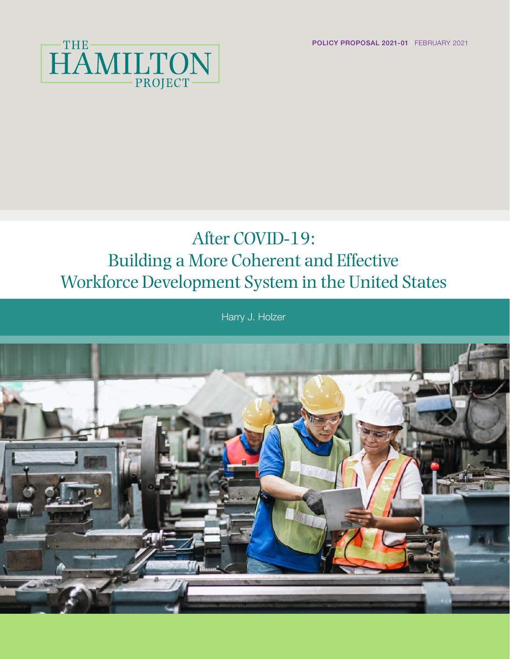POLICY PROPOSAL 2021-01 | FEBRUARY 2021



## After COVID-19: Building a More Coherent and Effective Workforce Development System in the United States

Harry J. Holzer

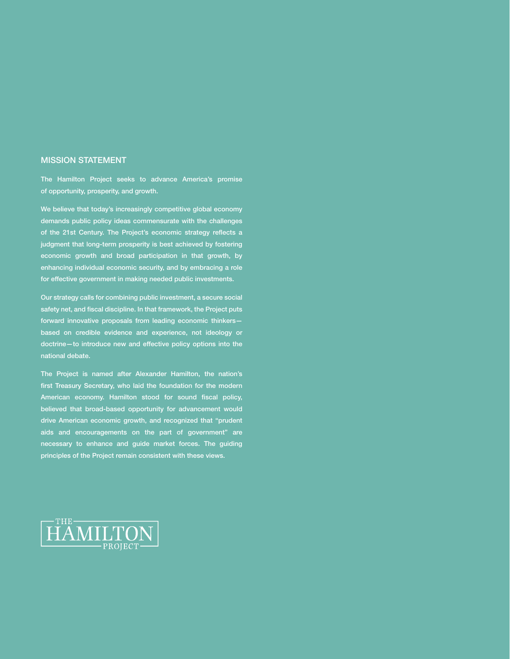#### MISSION STATEMENT

The Hamilton Project seeks to advance America's promise of opportunity, prosperity, and growth.

We believe that today's increasingly competitive global economy demands public policy ideas commensurate with the challenges of the 21st Century. The Project's economic strategy reflects a judgment that long-term prosperity is best achieved by fostering economic growth and broad participation in that growth, by enhancing individual economic security, and by embracing a role for effective government in making needed public investments.

Our strategy calls for combining public investment, a secure social safety net, and fiscal discipline. In that framework, the Project puts forward innovative proposals from leading economic thinkers based on credible evidence and experience, not ideology or doctrine—to introduce new and effective policy options into the national debate.

The Project is named after Alexander Hamilton, the nation's first Treasury Secretary, who laid the foundation for the modern American economy. Hamilton stood for sound fiscal policy, believed that broad-based opportunity for advancement would drive American economic growth, and recognized that "prudent aids and encouragements on the part of government" are necessary to enhance and guide market forces. The guiding principles of the Project remain consistent with these views.

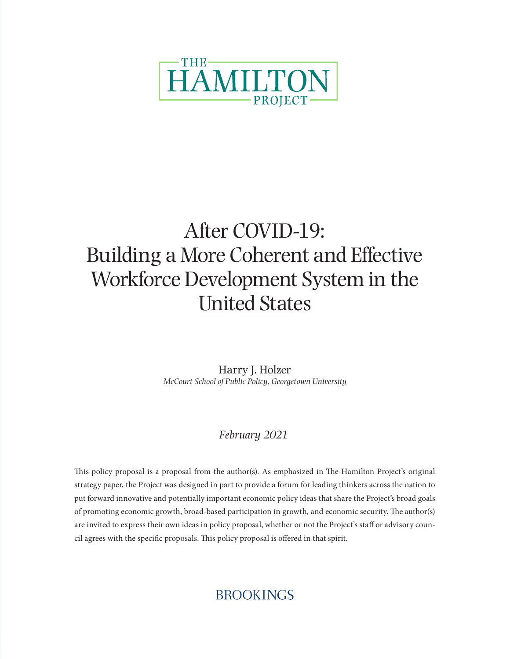

# After COVID-19: Building a More Coherent and Effective Workforce Development System in the United States

Harry J. Holzer *McCourt School of Public Policy, Georgetown University*

### *February 2021*

This policy proposal is a proposal from the author(s). As emphasized in The Hamilton Project's original strategy paper, the Project was designed in part to provide a forum for leading thinkers across the nation to put forward innovative and potentially important economic policy ideas that share the Project's broad goals of promoting economic growth, broad-based participation in growth, and economic security. The author(s) are invited to express their own ideas in policy proposal, whether or not the Project's staff or advisory council agrees with the specific proposals. This policy proposal is offered in that spirit.

### **BROOKINGS**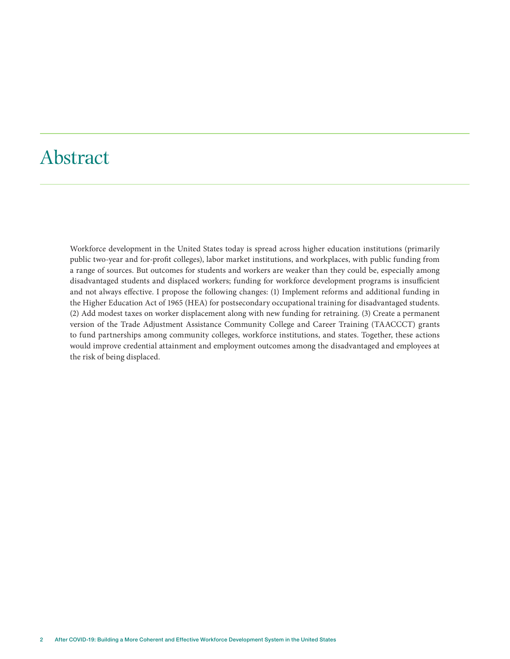### Abstract

Workforce development in the United States today is spread across higher education institutions (primarily public two-year and for-profit colleges), labor market institutions, and workplaces, with public funding from a range of sources. But outcomes for students and workers are weaker than they could be, especially among disadvantaged students and displaced workers; funding for workforce development programs is insufficient and not always effective. I propose the following changes: (1) Implement reforms and additional funding in the Higher Education Act of 1965 (HEA) for postsecondary occupational training for disadvantaged students. (2) Add modest taxes on worker displacement along with new funding for retraining. (3) Create a permanent version of the Trade Adjustment Assistance Community College and Career Training (TAACCCT) grants to fund partnerships among community colleges, workforce institutions, and states. Together, these actions would improve credential attainment and employment outcomes among the disadvantaged and employees at the risk of being displaced.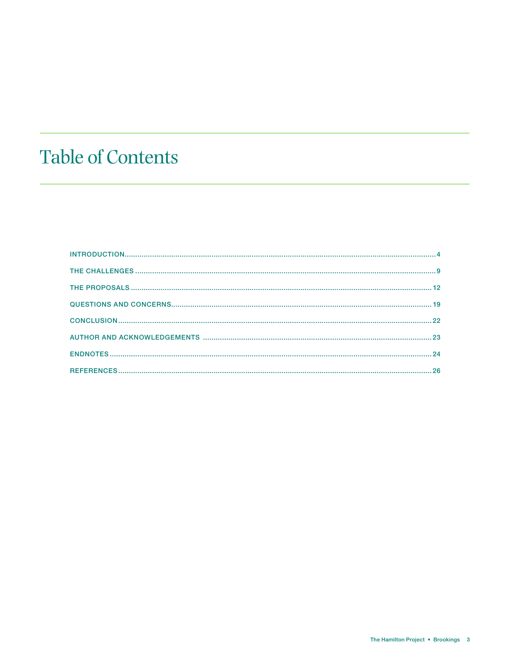# **Table of Contents**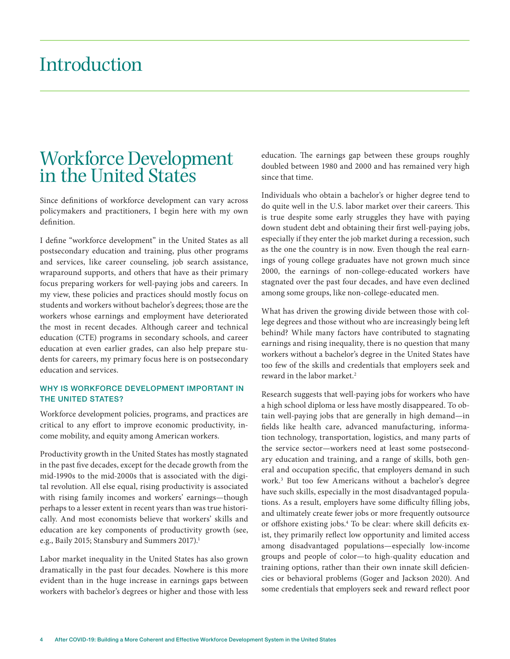### Introduction

### Workforce Development in the United States

Since definitions of workforce development can vary across policymakers and practitioners, I begin here with my own definition.

I define "workforce development" in the United States as all postsecondary education and training, plus other programs and services, like career counseling, job search assistance, wraparound supports, and others that have as their primary focus preparing workers for well-paying jobs and careers. In my view, these policies and practices should mostly focus on students and workers without bachelor's degrees; those are the workers whose earnings and employment have deteriorated the most in recent decades. Although career and technical education (CTE) programs in secondary schools, and career education at even earlier grades, can also help prepare students for careers, my primary focus here is on postsecondary education and services.

#### WHY IS WORKFORCE DEVELOPMENT IMPORTANT IN THE UNITED STATES?

Workforce development policies, programs, and practices are critical to any effort to improve economic productivity, income mobility, and equity among American workers.

Productivity growth in the United States has mostly stagnated in the past five decades, except for the decade growth from the mid-1990s to the mid-2000s that is associated with the digital revolution. All else equal, rising productivity is associated with rising family incomes and workers' earnings—though perhaps to a lesser extent in recent years than was true historically. And most economists believe that workers' skills and education are key components of productivity growth (see, e.g., Baily 2015; Stansbury and Summers 2017).<sup>1</sup>

Labor market inequality in the United States has also grown dramatically in the past four decades. Nowhere is this more evident than in the huge increase in earnings gaps between workers with bachelor's degrees or higher and those with less education. The earnings gap between these groups roughly doubled between 1980 and 2000 and has remained very high since that time.

Individuals who obtain a bachelor's or higher degree tend to do quite well in the U.S. labor market over their careers. This is true despite some early struggles they have with paying down student debt and obtaining their first well-paying jobs, especially if they enter the job market during a recession, such as the one the country is in now. Even though the real earnings of young college graduates have not grown much since 2000, the earnings of non-college-educated workers have stagnated over the past four decades, and have even declined among some groups, like non-college-educated men.

What has driven the growing divide between those with college degrees and those without who are increasingly being left behind? While many factors have contributed to stagnating earnings and rising inequality, there is no question that many workers without a bachelor's degree in the United States have too few of the skills and credentials that employers seek and reward in the labor market.<sup>2</sup>

Research suggests that well-paying jobs for workers who have a high school diploma or less have mostly disappeared. To obtain well-paying jobs that are generally in high demand—in fields like health care, advanced manufacturing, information technology, transportation, logistics, and many parts of the service sector—workers need at least some postsecondary education and training, and a range of skills, both general and occupation specific, that employers demand in such work.3 But too few Americans without a bachelor's degree have such skills, especially in the most disadvantaged populations. As a result, employers have some difficulty filling jobs, and ultimately create fewer jobs or more frequently outsource or offshore existing jobs.4 To be clear: where skill deficits exist, they primarily reflect low opportunity and limited access among disadvantaged populations—especially low-income groups and people of color—to high-quality education and training options, rather than their own innate skill deficiencies or behavioral problems (Goger and Jackson 2020). And some credentials that employers seek and reward reflect poor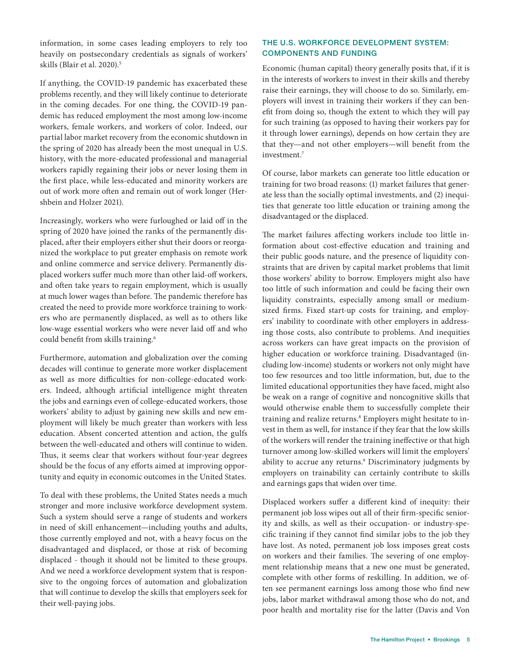information, in some cases leading employers to rely too heavily on postsecondary credentials as signals of workers' skills (Blair et al. 2020).<sup>5</sup>

If anything, the COVID-19 pandemic has exacerbated these problems recently, and they will likely continue to deteriorate in the coming decades. For one thing, the COVID-19 pandemic has reduced employment the most among low-income workers, female workers, and workers of color. Indeed, our partial labor market recovery from the economic shutdown in the spring of 2020 has already been the most unequal in U.S. history, with the more-educated professional and managerial workers rapidly regaining their jobs or never losing them in the first place, while less-educated and minority workers are out of work more often and remain out of work longer (Hershbein and Holzer 2021).

Increasingly, workers who were furloughed or laid off in the spring of 2020 have joined the ranks of the permanently displaced, after their employers either shut their doors or reorganized the workplace to put greater emphasis on remote work and online commerce and service delivery. Permanently displaced workers suffer much more than other laid-off workers, and often take years to regain employment, which is usually at much lower wages than before. The pandemic therefore has created the need to provide more workforce training to workers who are permanently displaced, as well as to others like low-wage essential workers who were never laid off and who could benefit from skills training.6

Furthermore, automation and globalization over the coming decades will continue to generate more worker displacement as well as more difficulties for non-college-educated workers. Indeed, although artificial intelligence might threaten the jobs and earnings even of college-educated workers, those workers' ability to adjust by gaining new skills and new employment will likely be much greater than workers with less education. Absent concerted attention and action, the gulfs between the well-educated and others will continue to widen. Thus, it seems clear that workers without four-year degrees should be the focus of any efforts aimed at improving opportunity and equity in economic outcomes in the United States.

To deal with these problems, the United States needs a much stronger and more inclusive workforce development system. Such a system should serve a range of students and workers in need of skill enhancement—including youths and adults, those currently employed and not, with a heavy focus on the disadvantaged and displaced, or those at risk of becoming displaced - though it should not be limited to these groups. And we need a workforce development system that is responsive to the ongoing forces of automation and globalization that will continue to develop the skills that employers seek for their well-paying jobs.

#### THE U.S. WORKFORCE DEVELOPMENT SYSTEM: COMPONENTS AND FUNDING

Economic (human capital) theory generally posits that, if it is in the interests of workers to invest in their skills and thereby raise their earnings, they will choose to do so. Similarly, employers will invest in training their workers if they can benefit from doing so, though the extent to which they will pay for such training (as opposed to having their workers pay for it through lower earnings), depends on how certain they are that they—and not other employers—will benefit from the investment.7

Of course, labor markets can generate too little education or training for two broad reasons: (1) market failures that generate less than the socially optimal investments, and (2) inequities that generate too little education or training among the disadvantaged or the displaced.

The market failures affecting workers include too little information about cost-effective education and training and their public goods nature, and the presence of liquidity constraints that are driven by capital market problems that limit those workers' ability to borrow. Employers might also have too little of such information and could be facing their own liquidity constraints, especially among small or mediumsized firms. Fixed start-up costs for training, and employers' inability to coordinate with other employers in addressing those costs, also contribute to problems. And inequities across workers can have great impacts on the provision of higher education or workforce training. Disadvantaged (including low-income) students or workers not only might have too few resources and too little information, but, due to the limited educational opportunities they have faced, might also be weak on a range of cognitive and noncognitive skills that would otherwise enable them to successfully complete their training and realize returns.8 Employers might hesitate to invest in them as well, for instance if they fear that the low skills of the workers will render the training ineffective or that high turnover among low-skilled workers will limit the employers' ability to accrue any returns.<sup>9</sup> Discriminatory judgments by employers on trainability can certainly contribute to skills and earnings gaps that widen over time.

Displaced workers suffer a different kind of inequity: their permanent job loss wipes out all of their firm-specific seniority and skills, as well as their occupation- or industry-specific training if they cannot find similar jobs to the job they have lost. As noted, permanent job loss imposes great costs on workers and their families. The severing of one employment relationship means that a new one must be generated, complete with other forms of reskilling. In addition, we often see permanent earnings loss among those who find new jobs, labor market withdrawal among those who do not, and poor health and mortality rise for the latter (Davis and Von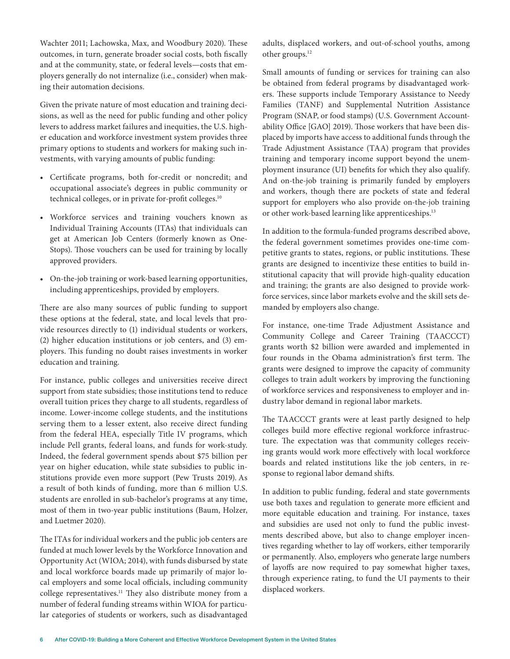Wachter 2011; Lachowska, Max, and Woodbury 2020). These outcomes, in turn, generate broader social costs, both fiscally and at the community, state, or federal levels—costs that employers generally do not internalize (i.e., consider) when making their automation decisions.

Given the private nature of most education and training decisions, as well as the need for public funding and other policy levers to address market failures and inequities, the U.S. higher education and workforce investment system provides three primary options to students and workers for making such investments, with varying amounts of public funding:

- Certificate programs, both for-credit or noncredit; and occupational associate's degrees in public community or technical colleges, or in private for-profit colleges.<sup>10</sup>
- Workforce services and training vouchers known as Individual Training Accounts (ITAs) that individuals can get at American Job Centers (formerly known as One-Stops). Those vouchers can be used for training by locally approved providers.
- On-the-job training or work-based learning opportunities, including apprenticeships, provided by employers.

There are also many sources of public funding to support these options at the federal, state, and local levels that provide resources directly to (1) individual students or workers, (2) higher education institutions or job centers, and (3) employers. This funding no doubt raises investments in worker education and training.

For instance, public colleges and universities receive direct support from state subsidies; those institutions tend to reduce overall tuition prices they charge to all students, regardless of income. Lower-income college students, and the institutions serving them to a lesser extent, also receive direct funding from the federal HEA, especially Title IV programs, which include Pell grants, federal loans, and funds for work-study. Indeed, the federal government spends about \$75 billion per year on higher education, while state subsidies to public institutions provide even more support (Pew Trusts 2019). As a result of both kinds of funding, more than 6 million U.S. students are enrolled in sub-bachelor's programs at any time, most of them in two-year public institutions (Baum, Holzer, and Luetmer 2020).

The ITAs for individual workers and the public job centers are funded at much lower levels by the Workforce Innovation and Opportunity Act (WIOA; 2014), with funds disbursed by state and local workforce boards made up primarily of major local employers and some local officials, including community college representatives.11 They also distribute money from a number of federal funding streams within WIOA for particular categories of students or workers, such as disadvantaged

adults, displaced workers, and out-of-school youths, among other groups.12

Small amounts of funding or services for training can also be obtained from federal programs by disadvantaged workers. These supports include Temporary Assistance to Needy Families (TANF) and Supplemental Nutrition Assistance Program (SNAP, or food stamps) (U.S. Government Accountability Office [GAO] 2019). Those workers that have been displaced by imports have access to additional funds through the Trade Adjustment Assistance (TAA) program that provides training and temporary income support beyond the unemployment insurance (UI) benefits for which they also qualify. And on-the-job training is primarily funded by employers and workers, though there are pockets of state and federal support for employers who also provide on-the-job training or other work-based learning like apprenticeships.<sup>13</sup>

In addition to the formula-funded programs described above, the federal government sometimes provides one-time competitive grants to states, regions, or public institutions. These grants are designed to incentivize these entities to build institutional capacity that will provide high-quality education and training; the grants are also designed to provide workforce services, since labor markets evolve and the skill sets demanded by employers also change.

For instance, one-time Trade Adjustment Assistance and Community College and Career Training (TAACCCT) grants worth \$2 billion were awarded and implemented in four rounds in the Obama administration's first term. The grants were designed to improve the capacity of community colleges to train adult workers by improving the functioning of workforce services and responsiveness to employer and industry labor demand in regional labor markets.

The TAACCCT grants were at least partly designed to help colleges build more effective regional workforce infrastructure. The expectation was that community colleges receiving grants would work more effectively with local workforce boards and related institutions like the job centers, in response to regional labor demand shifts.

In addition to public funding, federal and state governments use both taxes and regulation to generate more efficient and more equitable education and training. For instance, taxes and subsidies are used not only to fund the public investments described above, but also to change employer incentives regarding whether to lay off workers, either temporarily or permanently. Also, employers who generate large numbers of layoffs are now required to pay somewhat higher taxes, through experience rating, to fund the UI payments to their displaced workers.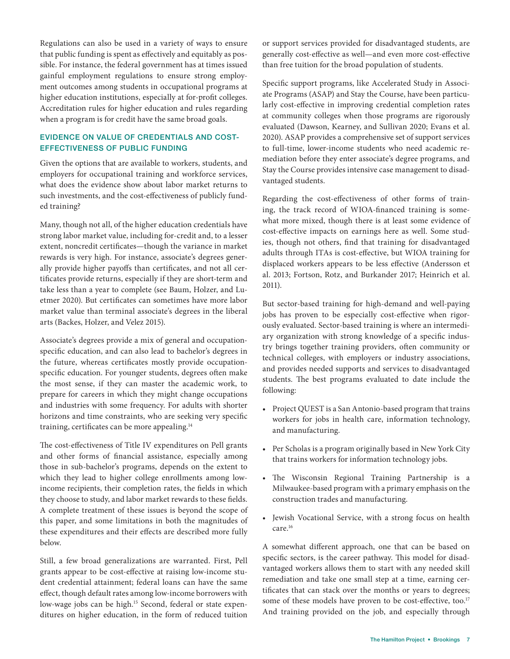Regulations can also be used in a variety of ways to ensure that public funding is spent as effectively and equitably as possible. For instance, the federal government has at times issued gainful employment regulations to ensure strong employment outcomes among students in occupational programs at higher education institutions, especially at for-profit colleges. Accreditation rules for higher education and rules regarding when a program is for credit have the same broad goals.

#### EVIDENCE ON VALUE OF CREDENTIALS AND COST-EFFECTIVENESS OF PUBLIC FUNDING

Given the options that are available to workers, students, and employers for occupational training and workforce services, what does the evidence show about labor market returns to such investments, and the cost-effectiveness of publicly funded training?

Many, though not all, of the higher education credentials have strong labor market value, including for-credit and, to a lesser extent, noncredit certificates—though the variance in market rewards is very high. For instance, associate's degrees generally provide higher payoffs than certificates, and not all certificates provide returns, especially if they are short-term and take less than a year to complete (see Baum, Holzer, and Luetmer 2020). But certificates can sometimes have more labor market value than terminal associate's degrees in the liberal arts (Backes, Holzer, and Velez 2015).

Associate's degrees provide a mix of general and occupationspecific education, and can also lead to bachelor's degrees in the future, whereas certificates mostly provide occupationspecific education. For younger students, degrees often make the most sense, if they can master the academic work, to prepare for careers in which they might change occupations and industries with some frequency. For adults with shorter horizons and time constraints, who are seeking very specific training, certificates can be more appealing.14

The cost-effectiveness of Title IV expenditures on Pell grants and other forms of financial assistance, especially among those in sub-bachelor's programs, depends on the extent to which they lead to higher college enrollments among lowincome recipients, their completion rates, the fields in which they choose to study, and labor market rewards to these fields. A complete treatment of these issues is beyond the scope of this paper, and some limitations in both the magnitudes of these expenditures and their effects are described more fully below.

Still, a few broad generalizations are warranted. First, Pell grants appear to be cost-effective at raising low-income student credential attainment; federal loans can have the same effect, though default rates among low-income borrowers with low-wage jobs can be high.<sup>15</sup> Second, federal or state expenditures on higher education, in the form of reduced tuition or support services provided for disadvantaged students, are generally cost-effective as well—and even more cost-effective than free tuition for the broad population of students.

Specific support programs, like Accelerated Study in Associate Programs (ASAP) and Stay the Course, have been particularly cost-effective in improving credential completion rates at community colleges when those programs are rigorously evaluated (Dawson, Kearney, and Sullivan 2020; Evans et al. 2020). ASAP provides a comprehensive set of support services to full-time, lower-income students who need academic remediation before they enter associate's degree programs, and Stay the Course provides intensive case management to disadvantaged students.

Regarding the cost-effectiveness of other forms of training, the track record of WIOA-financed training is somewhat more mixed, though there is at least some evidence of cost-effective impacts on earnings here as well. Some studies, though not others, find that training for disadvantaged adults through ITAs is cost-effective, but WIOA training for displaced workers appears to be less effective (Andersson et al. 2013; Fortson, Rotz, and Burkander 2017; Heinrich et al. 2011).

But sector-based training for high-demand and well-paying jobs has proven to be especially cost-effective when rigorously evaluated. Sector-based training is where an intermediary organization with strong knowledge of a specific industry brings together training providers, often community or technical colleges, with employers or industry associations, and provides needed supports and services to disadvantaged students. The best programs evaluated to date include the following:

- Project QUEST is a San Antonio-based program that trains workers for jobs in health care, information technology, and manufacturing.
- Per Scholas is a program originally based in New York City that trains workers for information technology jobs.
- The Wisconsin Regional Training Partnership is a Milwaukee-based program with a primary emphasis on the construction trades and manufacturing.
- Jewish Vocational Service, with a strong focus on health care.16

A somewhat different approach, one that can be based on specific sectors, is the career pathway. This model for disadvantaged workers allows them to start with any needed skill remediation and take one small step at a time, earning certificates that can stack over the months or years to degrees; some of these models have proven to be cost-effective, too.<sup>17</sup> And training provided on the job, and especially through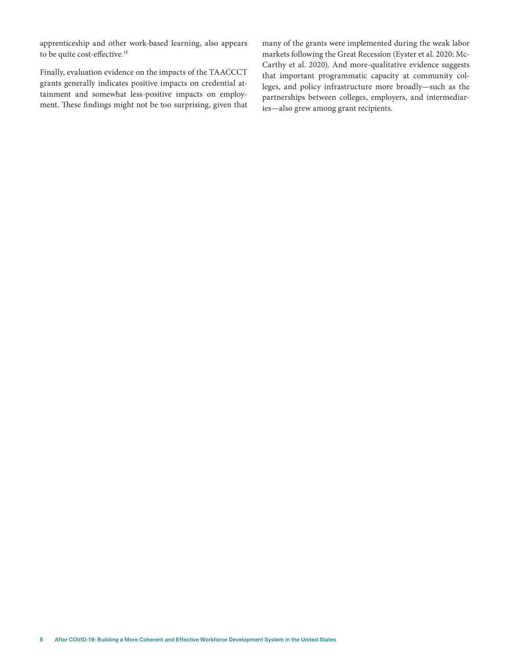apprenticeship and other work-based learning, also appears to be quite cost-effective.<sup>18</sup>

Finally, evaluation evidence on the impacts of the TAACCCT grants generally indicates positive impacts on credential attainment and somewhat less-positive impacts on employment. These findings might not be too surprising, given that many of the grants were implemented during the weak labor markets following the Great Recession (Eyster et al. 2020; Mc-Carthy et al. 2020). And more-qualitative evidence suggests that important programmatic capacity at community colleges, and policy infrastructure more broadly—such as the partnerships between colleges, employers, and intermediaries—also grew among grant recipients.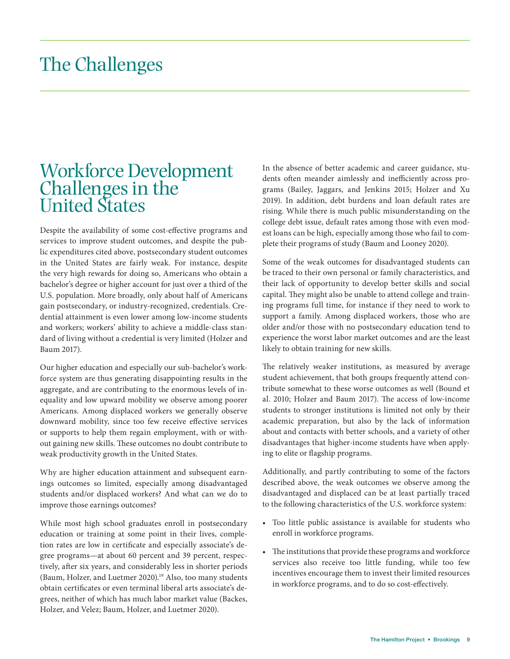### The Challenges

### Workforce Development Challenges in the United States

Despite the availability of some cost-effective programs and services to improve student outcomes, and despite the public expenditures cited above, postsecondary student outcomes in the United States are fairly weak. For instance, despite the very high rewards for doing so, Americans who obtain a bachelor's degree or higher account for just over a third of the U.S. population. More broadly, only about half of Americans gain postsecondary, or industry-recognized, credentials. Credential attainment is even lower among low-income students and workers; workers' ability to achieve a middle-class standard of living without a credential is very limited (Holzer and Baum 2017).

Our higher education and especially our sub-bachelor's workforce system are thus generating disappointing results in the aggregate, and are contributing to the enormous levels of inequality and low upward mobility we observe among poorer Americans. Among displaced workers we generally observe downward mobility, since too few receive effective services or supports to help them regain employment, with or without gaining new skills. These outcomes no doubt contribute to weak productivity growth in the United States.

Why are higher education attainment and subsequent earnings outcomes so limited, especially among disadvantaged students and/or displaced workers? And what can we do to improve those earnings outcomes?

While most high school graduates enroll in postsecondary education or training at some point in their lives, completion rates are low in certificate and especially associate's degree programs—at about 60 percent and 39 percent, respectively, after six years, and considerably less in shorter periods (Baum, Holzer, and Luetmer 2020).19 Also, too many students obtain certificates or even terminal liberal arts associate's degrees, neither of which has much labor market value (Backes, Holzer, and Velez; Baum, Holzer, and Luetmer 2020).

In the absence of better academic and career guidance, students often meander aimlessly and inefficiently across programs (Bailey, Jaggars, and Jenkins 2015; Holzer and Xu 2019). In addition, debt burdens and loan default rates are rising. While there is much public misunderstanding on the college debt issue, default rates among those with even modest loans can be high, especially among those who fail to complete their programs of study (Baum and Looney 2020).

Some of the weak outcomes for disadvantaged students can be traced to their own personal or family characteristics, and their lack of opportunity to develop better skills and social capital. They might also be unable to attend college and training programs full time, for instance if they need to work to support a family. Among displaced workers, those who are older and/or those with no postsecondary education tend to experience the worst labor market outcomes and are the least likely to obtain training for new skills.

The relatively weaker institutions, as measured by average student achievement, that both groups frequently attend contribute somewhat to these worse outcomes as well (Bound et al. 2010; Holzer and Baum 2017). The access of low-income students to stronger institutions is limited not only by their academic preparation, but also by the lack of information about and contacts with better schools, and a variety of other disadvantages that higher-income students have when applying to elite or flagship programs.

Additionally, and partly contributing to some of the factors described above, the weak outcomes we observe among the disadvantaged and displaced can be at least partially traced to the following characteristics of the U.S. workforce system:

- Too little public assistance is available for students who enroll in workforce programs.
- The institutions that provide these programs and workforce services also receive too little funding, while too few incentives encourage them to invest their limited resources in workforce programs, and to do so cost-effectively.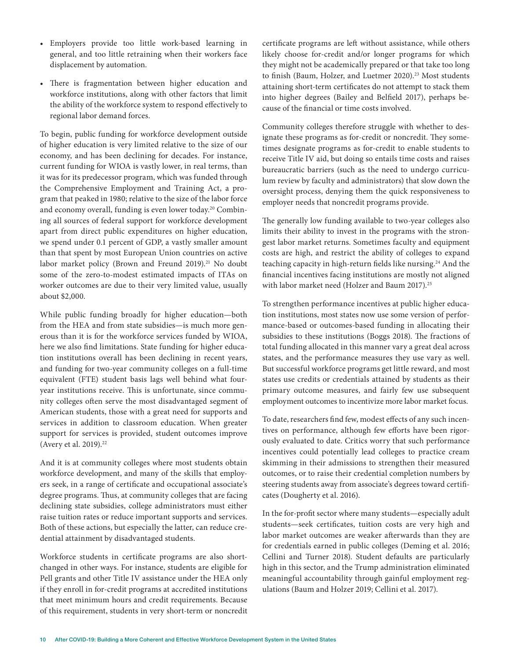- Employers provide too little work-based learning in general, and too little retraining when their workers face displacement by automation.
- There is fragmentation between higher education and workforce institutions, along with other factors that limit the ability of the workforce system to respond effectively to regional labor demand forces.

To begin, public funding for workforce development outside of higher education is very limited relative to the size of our economy, and has been declining for decades. For instance, current funding for WIOA is vastly lower, in real terms, than it was for its predecessor program, which was funded through the Comprehensive Employment and Training Act, a program that peaked in 1980; relative to the size of the labor force and economy overall, funding is even lower today.<sup>20</sup> Combining all sources of federal support for workforce development apart from direct public expenditures on higher education, we spend under 0.1 percent of GDP, a vastly smaller amount than that spent by most European Union countries on active labor market policy (Brown and Freund 2019).<sup>21</sup> No doubt some of the zero-to-modest estimated impacts of ITAs on worker outcomes are due to their very limited value, usually about \$2,000.

While public funding broadly for higher education—both from the HEA and from state subsidies—is much more generous than it is for the workforce services funded by WIOA, here we also find limitations. State funding for higher education institutions overall has been declining in recent years, and funding for two-year community colleges on a full-time equivalent (FTE) student basis lags well behind what fouryear institutions receive. This is unfortunate, since community colleges often serve the most disadvantaged segment of American students, those with a great need for supports and services in addition to classroom education. When greater support for services is provided, student outcomes improve (Avery et al. 2019).<sup>22</sup>

And it is at community colleges where most students obtain workforce development, and many of the skills that employers seek, in a range of certificate and occupational associate's degree programs. Thus, at community colleges that are facing declining state subsidies, college administrators must either raise tuition rates or reduce important supports and services. Both of these actions, but especially the latter, can reduce credential attainment by disadvantaged students.

Workforce students in certificate programs are also shortchanged in other ways. For instance, students are eligible for Pell grants and other Title IV assistance under the HEA only if they enroll in for-credit programs at accredited institutions that meet minimum hours and credit requirements. Because of this requirement, students in very short-term or noncredit

certificate programs are left without assistance, while others likely choose for-credit and/or longer programs for which they might not be academically prepared or that take too long to finish (Baum, Holzer, and Luetmer 2020).<sup>23</sup> Most students attaining short-term certificates do not attempt to stack them into higher degrees (Bailey and Belfield 2017), perhaps because of the financial or time costs involved.

Community colleges therefore struggle with whether to designate these programs as for-credit or noncredit. They sometimes designate programs as for-credit to enable students to receive Title IV aid, but doing so entails time costs and raises bureaucratic barriers (such as the need to undergo curriculum review by faculty and administrators) that slow down the oversight process, denying them the quick responsiveness to employer needs that noncredit programs provide.

The generally low funding available to two-year colleges also limits their ability to invest in the programs with the strongest labor market returns. Sometimes faculty and equipment costs are high, and restrict the ability of colleges to expand teaching capacity in high-return fields like nursing.<sup>24</sup> And the financial incentives facing institutions are mostly not aligned with labor market need (Holzer and Baum 2017).<sup>25</sup>

To strengthen performance incentives at public higher education institutions, most states now use some version of performance-based or outcomes-based funding in allocating their subsidies to these institutions (Boggs 2018). The fractions of total funding allocated in this manner vary a great deal across states, and the performance measures they use vary as well. But successful workforce programs get little reward, and most states use credits or credentials attained by students as their primary outcome measures, and fairly few use subsequent employment outcomes to incentivize more labor market focus.

To date, researchers find few, modest effects of any such incentives on performance, although few efforts have been rigorously evaluated to date. Critics worry that such performance incentives could potentially lead colleges to practice cream skimming in their admissions to strengthen their measured outcomes, or to raise their credential completion numbers by steering students away from associate's degrees toward certificates (Dougherty et al. 2016).

In the for-profit sector where many students—especially adult students—seek certificates, tuition costs are very high and labor market outcomes are weaker afterwards than they are for credentials earned in public colleges (Deming et al. 2016; Cellini and Turner 2018). Student defaults are particularly high in this sector, and the Trump administration eliminated meaningful accountability through gainful employment regulations (Baum and Holzer 2019; Cellini et al. 2017).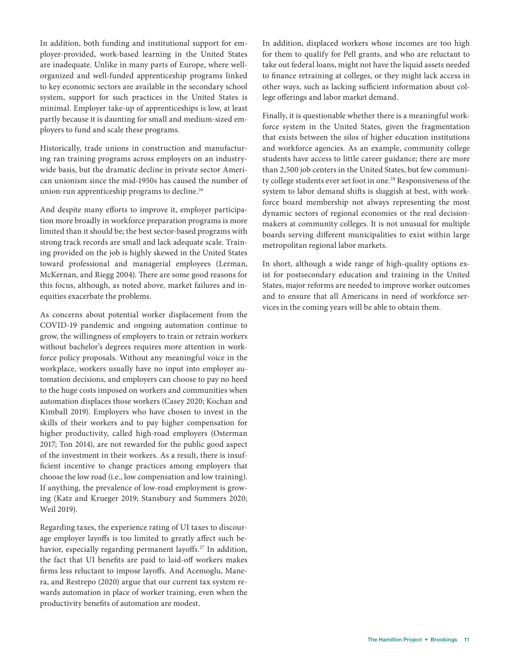In addition, both funding and institutional support for employer-provided, work-based learning in the United States are inadequate. Unlike in many parts of Europe, where wellorganized and well-funded apprenticeship programs linked to key economic sectors are available in the secondary school system, support for such practices in the United States is minimal. Employer take-up of apprenticeships is low, at least partly because it is daunting for small and medium-sized employers to fund and scale these programs.

Historically, trade unions in construction and manufacturing ran training programs across employers on an industrywide basis, but the dramatic decline in private sector American unionism since the mid-1950s has caused the number of union-run apprenticeship programs to decline.<sup>26</sup>

And despite many efforts to improve it, employer participation more broadly in workforce preparation programs is more limited than it should be; the best sector-based programs with strong track records are small and lack adequate scale. Training provided on the job is highly skewed in the United States toward professional and managerial employees (Lerman, McKernan, and Riegg 2004). There are some good reasons for this focus, although, as noted above, market failures and inequities exacerbate the problems.

As concerns about potential worker displacement from the COVID-19 pandemic and ongoing automation continue to grow, the willingness of employers to train or retrain workers without bachelor's degrees requires more attention in workforce policy proposals. Without any meaningful voice in the workplace, workers usually have no input into employer automation decisions, and employers can choose to pay no heed to the huge costs imposed on workers and communities when automation displaces those workers (Casey 2020; Kochan and Kimball 2019). Employers who have chosen to invest in the skills of their workers and to pay higher compensation for higher productivity, called high-road employers (Osterman 2017; Ton 2014), are not rewarded for the public good aspect of the investment in their workers. As a result, there is insufficient incentive to change practices among employers that choose the low road (i.e., low compensation and low training). If anything, the prevalence of low-road employment is growing (Katz and Krueger 2019; Stansbury and Summers 2020; Weil 2019).

Regarding taxes, the experience rating of UI taxes to discourage employer layoffs is too limited to greatly affect such behavior, especially regarding permanent layoffs.<sup>27</sup> In addition, the fact that UI benefits are paid to laid-off workers makes firms less reluctant to impose layoffs. And Acemoglu, Manera, and Restrepo (2020) argue that our current tax system rewards automation in place of worker training, even when the productivity benefits of automation are modest.

In addition, displaced workers whose incomes are too high for them to qualify for Pell grants, and who are reluctant to take out federal loans, might not have the liquid assets needed to finance retraining at colleges, or they might lack access in other ways, such as lacking sufficient information about college offerings and labor market demand.

Finally, it is questionable whether there is a meaningful workforce system in the United States, given the fragmentation that exists between the silos of higher education institutions and workforce agencies. As an example, community college students have access to little career guidance; there are more than 2,500 job centers in the United States, but few community college students ever set foot in one.28 Responsiveness of the system to labor demand shifts is sluggish at best, with workforce board membership not always representing the most dynamic sectors of regional economies or the real decisionmakers at community colleges. It is not unusual for multiple boards serving different municipalities to exist within large metropolitan regional labor markets.

In short, although a wide range of high-quality options exist for postsecondary education and training in the United States, major reforms are needed to improve worker outcomes and to ensure that all Americans in need of workforce services in the coming years will be able to obtain them.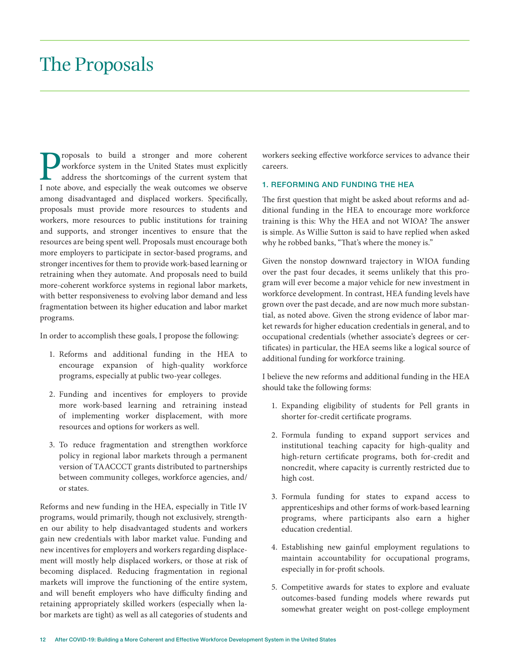### The Proposals

**Proposals to build a stronger and more coherent workforce system in the United States must explicitly address the shortcomings of the current system that I note above, and especially the weak outcomes we observe** workforce system in the United States must explicitly address the shortcomings of the current system that among disadvantaged and displaced workers. Specifically, proposals must provide more resources to students and workers, more resources to public institutions for training and supports, and stronger incentives to ensure that the resources are being spent well. Proposals must encourage both more employers to participate in sector-based programs, and stronger incentives for them to provide work-based learning or retraining when they automate. And proposals need to build more-coherent workforce systems in regional labor markets, with better responsiveness to evolving labor demand and less fragmentation between its higher education and labor market programs.

In order to accomplish these goals, I propose the following:

- 1. Reforms and additional funding in the HEA to encourage expansion of high-quality workforce programs, especially at public two-year colleges.
- 2. Funding and incentives for employers to provide more work-based learning and retraining instead of implementing worker displacement, with more resources and options for workers as well.
- 3. To reduce fragmentation and strengthen workforce policy in regional labor markets through a permanent version of TAACCCT grants distributed to partnerships between community colleges, workforce agencies, and/ or states.

Reforms and new funding in the HEA, especially in Title IV programs, would primarily, though not exclusively, strengthen our ability to help disadvantaged students and workers gain new credentials with labor market value. Funding and new incentives for employers and workers regarding displacement will mostly help displaced workers, or those at risk of becoming displaced. Reducing fragmentation in regional markets will improve the functioning of the entire system, and will benefit employers who have difficulty finding and retaining appropriately skilled workers (especially when labor markets are tight) as well as all categories of students and

workers seeking effective workforce services to advance their careers.

#### 1. REFORMING AND FUNDING THE HEA

The first question that might be asked about reforms and additional funding in the HEA to encourage more workforce training is this: Why the HEA and not WIOA? The answer is simple. As Willie Sutton is said to have replied when asked why he robbed banks, "That's where the money is."

Given the nonstop downward trajectory in WIOA funding over the past four decades, it seems unlikely that this program will ever become a major vehicle for new investment in workforce development. In contrast, HEA funding levels have grown over the past decade, and are now much more substantial, as noted above. Given the strong evidence of labor market rewards for higher education credentials in general, and to occupational credentials (whether associate's degrees or certificates) in particular, the HEA seems like a logical source of additional funding for workforce training.

I believe the new reforms and additional funding in the HEA should take the following forms:

- 1. Expanding eligibility of students for Pell grants in shorter for-credit certificate programs.
- 2. Formula funding to expand support services and institutional teaching capacity for high-quality and high-return certificate programs, both for-credit and noncredit, where capacity is currently restricted due to high cost.
- 3. Formula funding for states to expand access to apprenticeships and other forms of work-based learning programs, where participants also earn a higher education credential.
- 4. Establishing new gainful employment regulations to maintain accountability for occupational programs, especially in for-profit schools.
- 5. Competitive awards for states to explore and evaluate outcomes-based funding models where rewards put somewhat greater weight on post-college employment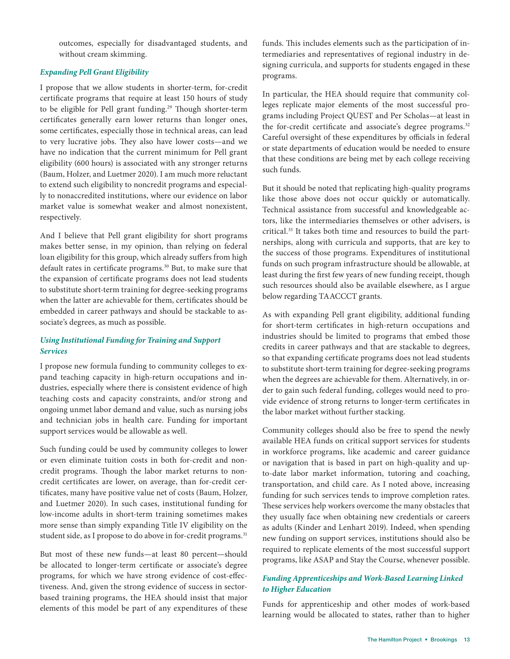outcomes, especially for disadvantaged students, and without cream skimming.

#### *Expanding Pell Grant Eligibility*

I propose that we allow students in shorter-term, for-credit certificate programs that require at least 150 hours of study to be eligible for Pell grant funding.<sup>29</sup> Though shorter-term certificates generally earn lower returns than longer ones, some certificates, especially those in technical areas, can lead to very lucrative jobs. They also have lower costs—and we have no indication that the current minimum for Pell grant eligibility (600 hours) is associated with any stronger returns (Baum, Holzer, and Luetmer 2020). I am much more reluctant to extend such eligibility to noncredit programs and especially to nonaccredited institutions, where our evidence on labor market value is somewhat weaker and almost nonexistent, respectively.

And I believe that Pell grant eligibility for short programs makes better sense, in my opinion, than relying on federal loan eligibility for this group, which already suffers from high default rates in certificate programs.30 But, to make sure that the expansion of certificate programs does not lead students to substitute short-term training for degree-seeking programs when the latter are achievable for them, certificates should be embedded in career pathways and should be stackable to associate's degrees, as much as possible.

#### *Using Institutional Funding for Training and Support Services*

I propose new formula funding to community colleges to expand teaching capacity in high-return occupations and industries, especially where there is consistent evidence of high teaching costs and capacity constraints, and/or strong and ongoing unmet labor demand and value, such as nursing jobs and technician jobs in health care. Funding for important support services would be allowable as well.

Such funding could be used by community colleges to lower or even eliminate tuition costs in both for-credit and noncredit programs. Though the labor market returns to noncredit certificates are lower, on average, than for-credit certificates, many have positive value net of costs (Baum, Holzer, and Luetmer 2020). In such cases, institutional funding for low-income adults in short-term training sometimes makes more sense than simply expanding Title IV eligibility on the student side, as I propose to do above in for-credit programs.<sup>31</sup>

But most of these new funds—at least 80 percent—should be allocated to longer-term certificate or associate's degree programs, for which we have strong evidence of cost-effectiveness. And, given the strong evidence of success in sectorbased training programs, the HEA should insist that major elements of this model be part of any expenditures of these

funds. This includes elements such as the participation of intermediaries and representatives of regional industry in designing curricula, and supports for students engaged in these programs.

In particular, the HEA should require that community colleges replicate major elements of the most successful programs including Project QUEST and Per Scholas—at least in the for-credit certificate and associate's degree programs.<sup>32</sup> Careful oversight of these expenditures by officials in federal or state departments of education would be needed to ensure that these conditions are being met by each college receiving such funds.

But it should be noted that replicating high-quality programs like those above does not occur quickly or automatically. Technical assistance from successful and knowledgeable actors, like the intermediaries themselves or other advisers, is critical.33 It takes both time and resources to build the partnerships, along with curricula and supports, that are key to the success of those programs. Expenditures of institutional funds on such program infrastructure should be allowable, at least during the first few years of new funding receipt, though such resources should also be available elsewhere, as I argue below regarding TAACCCT grants.

As with expanding Pell grant eligibility, additional funding for short-term certificates in high-return occupations and industries should be limited to programs that embed those credits in career pathways and that are stackable to degrees, so that expanding certificate programs does not lead students to substitute short-term training for degree-seeking programs when the degrees are achievable for them. Alternatively, in order to gain such federal funding, colleges would need to provide evidence of strong returns to longer-term certificates in the labor market without further stacking.

Community colleges should also be free to spend the newly available HEA funds on critical support services for students in workforce programs, like academic and career guidance or navigation that is based in part on high-quality and upto-date labor market information, tutoring and coaching, transportation, and child care. As I noted above, increasing funding for such services tends to improve completion rates. These services help workers overcome the many obstacles that they usually face when obtaining new credentials or careers as adults (Kinder and Lenhart 2019). Indeed, when spending new funding on support services, institutions should also be required to replicate elements of the most successful support programs, like ASAP and Stay the Course, whenever possible.

#### *Funding Apprenticeships and Work-Based Learning Linked to Higher Education*

Funds for apprenticeship and other modes of work-based learning would be allocated to states, rather than to higher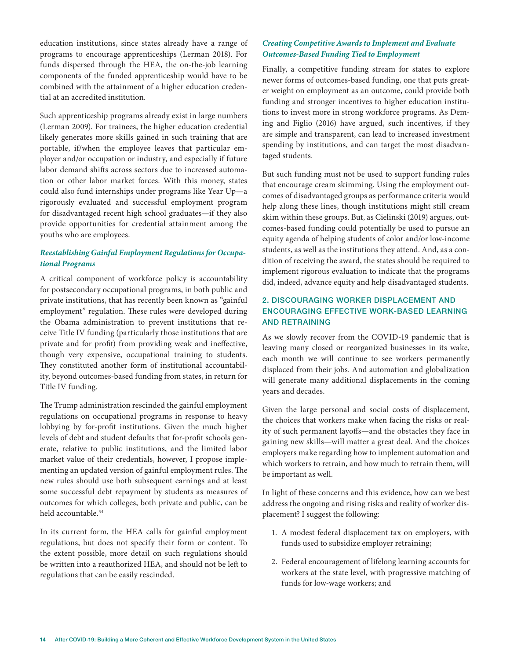education institutions, since states already have a range of programs to encourage apprenticeships (Lerman 2018). For funds dispersed through the HEA, the on-the-job learning components of the funded apprenticeship would have to be combined with the attainment of a higher education credential at an accredited institution.

Such apprenticeship programs already exist in large numbers (Lerman 2009). For trainees, the higher education credential likely generates more skills gained in such training that are portable, if/when the employee leaves that particular employer and/or occupation or industry, and especially if future labor demand shifts across sectors due to increased automation or other labor market forces. With this money, states could also fund internships under programs like Year Up—a rigorously evaluated and successful employment program for disadvantaged recent high school graduates—if they also provide opportunities for credential attainment among the youths who are employees.

#### *Reestablishing Gainful Employment Regulations for Occupational Programs*

A critical component of workforce policy is accountability for postsecondary occupational programs, in both public and private institutions, that has recently been known as "gainful employment" regulation. These rules were developed during the Obama administration to prevent institutions that receive Title IV funding (particularly those institutions that are private and for profit) from providing weak and ineffective, though very expensive, occupational training to students. They constituted another form of institutional accountability, beyond outcomes-based funding from states, in return for Title IV funding.

The Trump administration rescinded the gainful employment regulations on occupational programs in response to heavy lobbying by for-profit institutions. Given the much higher levels of debt and student defaults that for-profit schools generate, relative to public institutions, and the limited labor market value of their credentials, however, I propose implementing an updated version of gainful employment rules. The new rules should use both subsequent earnings and at least some successful debt repayment by students as measures of outcomes for which colleges, both private and public, can be held accountable.<sup>34</sup>

In its current form, the HEA calls for gainful employment regulations, but does not specify their form or content. To the extent possible, more detail on such regulations should be written into a reauthorized HEA, and should not be left to regulations that can be easily rescinded.

#### *Creating Competitive Awards to Implement and Evaluate Outcomes-Based Funding Tied to Employment*

Finally, a competitive funding stream for states to explore newer forms of outcomes-based funding, one that puts greater weight on employment as an outcome, could provide both funding and stronger incentives to higher education institutions to invest more in strong workforce programs. As Deming and Figlio (2016) have argued, such incentives, if they are simple and transparent, can lead to increased investment spending by institutions, and can target the most disadvantaged students.

But such funding must not be used to support funding rules that encourage cream skimming. Using the employment outcomes of disadvantaged groups as performance criteria would help along these lines, though institutions might still cream skim within these groups. But, as Cielinski (2019) argues, outcomes-based funding could potentially be used to pursue an equity agenda of helping students of color and/or low-income students, as well as the institutions they attend. And, as a condition of receiving the award, the states should be required to implement rigorous evaluation to indicate that the programs did, indeed, advance equity and help disadvantaged students.

#### 2. DISCOURAGING WORKER DISPLACEMENT AND ENCOURAGING EFFECTIVE WORK-BASED LEARNING AND RETRAINING

As we slowly recover from the COVID-19 pandemic that is leaving many closed or reorganized businesses in its wake, each month we will continue to see workers permanently displaced from their jobs. And automation and globalization will generate many additional displacements in the coming years and decades.

Given the large personal and social costs of displacement, the choices that workers make when facing the risks or reality of such permanent layoffs—and the obstacles they face in gaining new skills—will matter a great deal. And the choices employers make regarding how to implement automation and which workers to retrain, and how much to retrain them, will be important as well.

In light of these concerns and this evidence, how can we best address the ongoing and rising risks and reality of worker displacement? I suggest the following:

- 1. A modest federal displacement tax on employers, with funds used to subsidize employer retraining;
- 2. Federal encouragement of lifelong learning accounts for workers at the state level, with progressive matching of funds for low-wage workers; and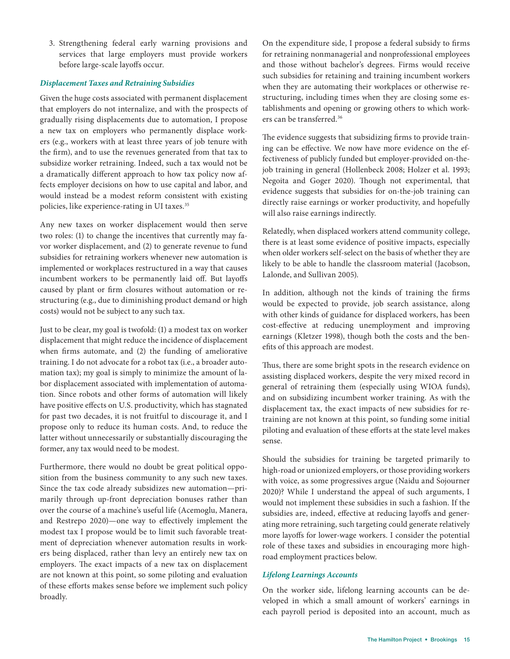3. Strengthening federal early warning provisions and services that large employers must provide workers before large-scale layoffs occur.

#### *Displacement Taxes and Retraining Subsidies*

Given the huge costs associated with permanent displacement that employers do not internalize, and with the prospects of gradually rising displacements due to automation, I propose a new tax on employers who permanently displace workers (e.g., workers with at least three years of job tenure with the firm), and to use the revenues generated from that tax to subsidize worker retraining. Indeed, such a tax would not be a dramatically different approach to how tax policy now affects employer decisions on how to use capital and labor, and would instead be a modest reform consistent with existing policies, like experience-rating in UI taxes.<sup>35</sup>

Any new taxes on worker displacement would then serve two roles: (1) to change the incentives that currently may favor worker displacement, and (2) to generate revenue to fund subsidies for retraining workers whenever new automation is implemented or workplaces restructured in a way that causes incumbent workers to be permanently laid off. But layoffs caused by plant or firm closures without automation or restructuring (e.g., due to diminishing product demand or high costs) would not be subject to any such tax.

Just to be clear, my goal is twofold: (1) a modest tax on worker displacement that might reduce the incidence of displacement when firms automate, and (2) the funding of ameliorative training. I do not advocate for a robot tax (i.e., a broader automation tax); my goal is simply to minimize the amount of labor displacement associated with implementation of automation. Since robots and other forms of automation will likely have positive effects on U.S. productivity, which has stagnated for past two decades, it is not fruitful to discourage it, and I propose only to reduce its human costs. And, to reduce the latter without unnecessarily or substantially discouraging the former, any tax would need to be modest.

Furthermore, there would no doubt be great political opposition from the business community to any such new taxes. Since the tax code already subsidizes new automation—primarily through up-front depreciation bonuses rather than over the course of a machine's useful life (Acemoglu, Manera, and Restrepo 2020)—one way to effectively implement the modest tax I propose would be to limit such favorable treatment of depreciation whenever automation results in workers being displaced, rather than levy an entirely new tax on employers. The exact impacts of a new tax on displacement are not known at this point, so some piloting and evaluation of these efforts makes sense before we implement such policy broadly.

On the expenditure side, I propose a federal subsidy to firms for retraining nonmanagerial and nonprofessional employees and those without bachelor's degrees. Firms would receive such subsidies for retaining and training incumbent workers when they are automating their workplaces or otherwise restructuring, including times when they are closing some establishments and opening or growing others to which workers can be transferred.36

The evidence suggests that subsidizing firms to provide training can be effective. We now have more evidence on the effectiveness of publicly funded but employer-provided on-thejob training in general (Hollenbeck 2008; Holzer et al. 1993; Negoita and Goger 2020). Though not experimental, that evidence suggests that subsidies for on-the-job training can directly raise earnings or worker productivity, and hopefully will also raise earnings indirectly.

Relatedly, when displaced workers attend community college, there is at least some evidence of positive impacts, especially when older workers self-select on the basis of whether they are likely to be able to handle the classroom material (Jacobson, Lalonde, and Sullivan 2005).

In addition, although not the kinds of training the firms would be expected to provide, job search assistance, along with other kinds of guidance for displaced workers, has been cost-effective at reducing unemployment and improving earnings (Kletzer 1998), though both the costs and the benefits of this approach are modest.

Thus, there are some bright spots in the research evidence on assisting displaced workers, despite the very mixed record in general of retraining them (especially using WIOA funds), and on subsidizing incumbent worker training. As with the displacement tax, the exact impacts of new subsidies for retraining are not known at this point, so funding some initial piloting and evaluation of these efforts at the state level makes sense.

Should the subsidies for training be targeted primarily to high-road or unionized employers, or those providing workers with voice, as some progressives argue (Naidu and Sojourner 2020)? While I understand the appeal of such arguments, I would not implement these subsidies in such a fashion. If the subsidies are, indeed, effective at reducing layoffs and generating more retraining, such targeting could generate relatively more layoffs for lower-wage workers. I consider the potential role of these taxes and subsidies in encouraging more highroad employment practices below.

#### *Lifelong Learnings Accounts*

On the worker side, lifelong learning accounts can be developed in which a small amount of workers' earnings in each payroll period is deposited into an account, much as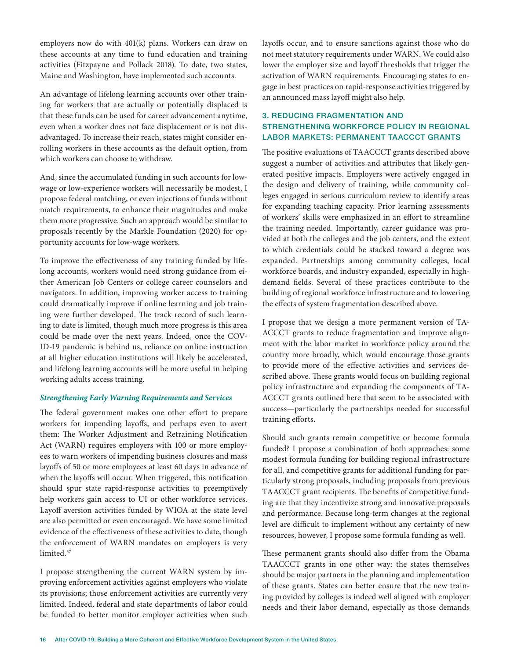employers now do with 401(k) plans. Workers can draw on these accounts at any time to fund education and training activities (Fitzpayne and Pollack 2018). To date, two states, Maine and Washington, have implemented such accounts.

An advantage of lifelong learning accounts over other training for workers that are actually or potentially displaced is that these funds can be used for career advancement anytime, even when a worker does not face displacement or is not disadvantaged. To increase their reach, states might consider enrolling workers in these accounts as the default option, from which workers can choose to withdraw.

And, since the accumulated funding in such accounts for lowwage or low-experience workers will necessarily be modest, I propose federal matching, or even injections of funds without match requirements, to enhance their magnitudes and make them more progressive. Such an approach would be similar to proposals recently by the Markle Foundation (2020) for opportunity accounts for low-wage workers.

To improve the effectiveness of any training funded by lifelong accounts, workers would need strong guidance from either American Job Centers or college career counselors and navigators. In addition, improving worker access to training could dramatically improve if online learning and job training were further developed. The track record of such learning to date is limited, though much more progress is this area could be made over the next years. Indeed, once the COV-ID-19 pandemic is behind us, reliance on online instruction at all higher education institutions will likely be accelerated, and lifelong learning accounts will be more useful in helping working adults access training.

#### *Strengthening Early Warning Requirements and Services*

The federal government makes one other effort to prepare workers for impending layoffs, and perhaps even to avert them: The Worker Adjustment and Retraining Notification Act (WARN) requires employers with 100 or more employees to warn workers of impending business closures and mass layoffs of 50 or more employees at least 60 days in advance of when the layoffs will occur. When triggered, this notification should spur state rapid-response activities to preemptively help workers gain access to UI or other workforce services. Layoff aversion activities funded by WIOA at the state level are also permitted or even encouraged. We have some limited evidence of the effectiveness of these activities to date, though the enforcement of WARN mandates on employers is very limited.<sup>37</sup>

I propose strengthening the current WARN system by improving enforcement activities against employers who violate its provisions; those enforcement activities are currently very limited. Indeed, federal and state departments of labor could be funded to better monitor employer activities when such

layoffs occur, and to ensure sanctions against those who do not meet statutory requirements under WARN. We could also lower the employer size and layoff thresholds that trigger the activation of WARN requirements. Encouraging states to engage in best practices on rapid-response activities triggered by an announced mass layoff might also help.

#### 3. REDUCING FRAGMENTATION AND STRENGTHENING WORKFORCE POLICY IN REGIONAL LABOR MARKETS: PERMANENT TAACCCT GRANTS

The positive evaluations of TAACCCT grants described above suggest a number of activities and attributes that likely generated positive impacts. Employers were actively engaged in the design and delivery of training, while community colleges engaged in serious curriculum review to identify areas for expanding teaching capacity. Prior learning assessments of workers' skills were emphasized in an effort to streamline the training needed. Importantly, career guidance was provided at both the colleges and the job centers, and the extent to which credentials could be stacked toward a degree was expanded. Partnerships among community colleges, local workforce boards, and industry expanded, especially in highdemand fields. Several of these practices contribute to the building of regional workforce infrastructure and to lowering the effects of system fragmentation described above.

I propose that we design a more permanent version of TA-ACCCT grants to reduce fragmentation and improve alignment with the labor market in workforce policy around the country more broadly, which would encourage those grants to provide more of the effective activities and services described above. These grants would focus on building regional policy infrastructure and expanding the components of TA-ACCCT grants outlined here that seem to be associated with success—particularly the partnerships needed for successful training efforts.

Should such grants remain competitive or become formula funded? I propose a combination of both approaches: some modest formula funding for building regional infrastructure for all, and competitive grants for additional funding for particularly strong proposals, including proposals from previous TAACCCT grant recipients. The benefits of competitive funding are that they incentivize strong and innovative proposals and performance. Because long-term changes at the regional level are difficult to implement without any certainty of new resources, however, I propose some formula funding as well.

These permanent grants should also differ from the Obama TAACCCT grants in one other way: the states themselves should be major partners in the planning and implementation of these grants. States can better ensure that the new training provided by colleges is indeed well aligned with employer needs and their labor demand, especially as those demands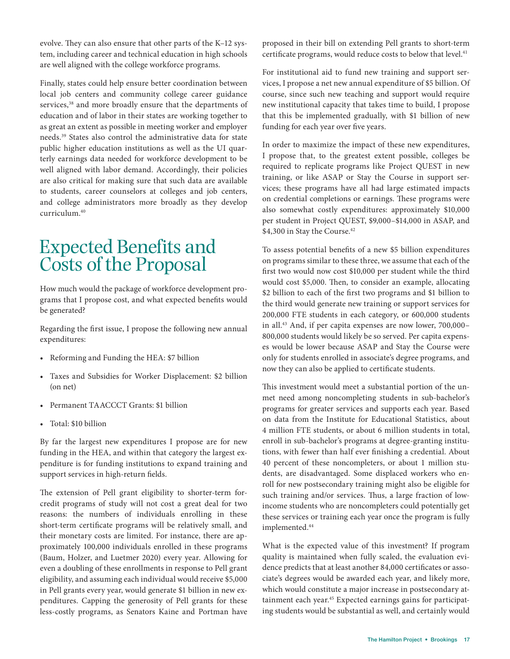evolve. They can also ensure that other parts of the K–12 system, including career and technical education in high schools are well aligned with the college workforce programs.

Finally, states could help ensure better coordination between local job centers and community college career guidance services,<sup>38</sup> and more broadly ensure that the departments of education and of labor in their states are working together to as great an extent as possible in meeting worker and employer needs.39 States also control the administrative data for state public higher education institutions as well as the UI quarterly earnings data needed for workforce development to be well aligned with labor demand. Accordingly, their policies are also critical for making sure that such data are available to students, career counselors at colleges and job centers, and college administrators more broadly as they develop curriculum.40

### Expected Benefits and Costs of the Proposal

How much would the package of workforce development programs that I propose cost, and what expected benefits would be generated?

Regarding the first issue, I propose the following new annual expenditures:

- Reforming and Funding the HEA: \$7 billion
- Taxes and Subsidies for Worker Displacement: \$2 billion (on net)
- Permanent TAACCCT Grants: \$1 billion
- Total: \$10 billion

By far the largest new expenditures I propose are for new funding in the HEA, and within that category the largest expenditure is for funding institutions to expand training and support services in high-return fields.

The extension of Pell grant eligibility to shorter-term forcredit programs of study will not cost a great deal for two reasons: the numbers of individuals enrolling in these short-term certificate programs will be relatively small, and their monetary costs are limited. For instance, there are approximately 100,000 individuals enrolled in these programs (Baum, Holzer, and Luetmer 2020) every year. Allowing for even a doubling of these enrollments in response to Pell grant eligibility, and assuming each individual would receive \$5,000 in Pell grants every year, would generate \$1 billion in new expenditures. Capping the generosity of Pell grants for these less-costly programs, as Senators Kaine and Portman have

proposed in their bill on extending Pell grants to short-term certificate programs, would reduce costs to below that level.<sup>41</sup>

For institutional aid to fund new training and support services, I propose a net new annual expenditure of \$5 billion. Of course, since such new teaching and support would require new institutional capacity that takes time to build, I propose that this be implemented gradually, with \$1 billion of new funding for each year over five years.

In order to maximize the impact of these new expenditures, I propose that, to the greatest extent possible, colleges be required to replicate programs like Project QUEST in new training, or like ASAP or Stay the Course in support services; these programs have all had large estimated impacts on credential completions or earnings. These programs were also somewhat costly expenditures: approximately \$10,000 per student in Project QUEST, \$9,000–\$14,000 in ASAP, and \$4,300 in Stay the Course.<sup>42</sup>

To assess potential benefits of a new \$5 billion expenditures on programs similar to these three, we assume that each of the first two would now cost \$10,000 per student while the third would cost \$5,000. Then, to consider an example, allocating \$2 billion to each of the first two programs and \$1 billion to the third would generate new training or support services for 200,000 FTE students in each category, or 600,000 students in all.43 And, if per capita expenses are now lower, 700,000– 800,000 students would likely be so served. Per capita expenses would be lower because ASAP and Stay the Course were only for students enrolled in associate's degree programs, and now they can also be applied to certificate students.

This investment would meet a substantial portion of the unmet need among noncompleting students in sub-bachelor's programs for greater services and supports each year. Based on data from the Institute for Educational Statistics, about 4 million FTE students, or about 6 million students in total, enroll in sub-bachelor's programs at degree-granting institutions, with fewer than half ever finishing a credential. About 40 percent of these noncompleters, or about 1 million students, are disadvantaged. Some displaced workers who enroll for new postsecondary training might also be eligible for such training and/or services. Thus, a large fraction of lowincome students who are noncompleters could potentially get these services or training each year once the program is fully implemented.<sup>44</sup>

What is the expected value of this investment? If program quality is maintained when fully scaled, the evaluation evidence predicts that at least another 84,000 certificates or associate's degrees would be awarded each year, and likely more, which would constitute a major increase in postsecondary attainment each year.<sup>45</sup> Expected earnings gains for participating students would be substantial as well, and certainly would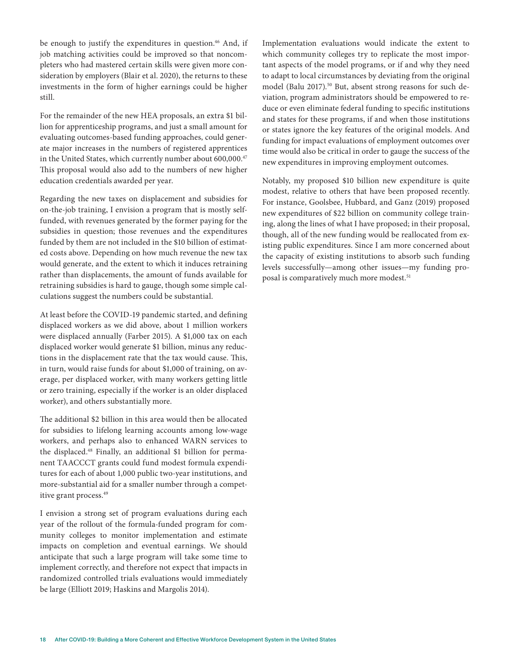be enough to justify the expenditures in question.<sup>46</sup> And, if job matching activities could be improved so that noncompleters who had mastered certain skills were given more consideration by employers (Blair et al. 2020), the returns to these investments in the form of higher earnings could be higher still.

For the remainder of the new HEA proposals, an extra \$1 billion for apprenticeship programs, and just a small amount for evaluating outcomes-based funding approaches, could generate major increases in the numbers of registered apprentices in the United States, which currently number about 600,000.<sup>47</sup> This proposal would also add to the numbers of new higher education credentials awarded per year.

Regarding the new taxes on displacement and subsidies for on-the-job training, I envision a program that is mostly selffunded, with revenues generated by the former paying for the subsidies in question; those revenues and the expenditures funded by them are not included in the \$10 billion of estimated costs above. Depending on how much revenue the new tax would generate, and the extent to which it induces retraining rather than displacements, the amount of funds available for retraining subsidies is hard to gauge, though some simple calculations suggest the numbers could be substantial.

At least before the COVID-19 pandemic started, and defining displaced workers as we did above, about 1 million workers were displaced annually (Farber 2015). A \$1,000 tax on each displaced worker would generate \$1 billion, minus any reductions in the displacement rate that the tax would cause. This, in turn, would raise funds for about \$1,000 of training, on average, per displaced worker, with many workers getting little or zero training, especially if the worker is an older displaced worker), and others substantially more.

The additional \$2 billion in this area would then be allocated for subsidies to lifelong learning accounts among low-wage workers, and perhaps also to enhanced WARN services to the displaced.<sup>48</sup> Finally, an additional \$1 billion for permanent TAACCCT grants could fund modest formula expenditures for each of about 1,000 public two-year institutions, and more-substantial aid for a smaller number through a competitive grant process.49

I envision a strong set of program evaluations during each year of the rollout of the formula-funded program for community colleges to monitor implementation and estimate impacts on completion and eventual earnings. We should anticipate that such a large program will take some time to implement correctly, and therefore not expect that impacts in randomized controlled trials evaluations would immediately be large (Elliott 2019; Haskins and Margolis 2014).

Implementation evaluations would indicate the extent to which community colleges try to replicate the most important aspects of the model programs, or if and why they need to adapt to local circumstances by deviating from the original model (Balu 2017).<sup>50</sup> But, absent strong reasons for such deviation, program administrators should be empowered to reduce or even eliminate federal funding to specific institutions and states for these programs, if and when those institutions or states ignore the key features of the original models. And funding for impact evaluations of employment outcomes over time would also be critical in order to gauge the success of the new expenditures in improving employment outcomes.

Notably, my proposed \$10 billion new expenditure is quite modest, relative to others that have been proposed recently. For instance, Goolsbee, Hubbard, and Ganz (2019) proposed new expenditures of \$22 billion on community college training, along the lines of what I have proposed; in their proposal, though, all of the new funding would be reallocated from existing public expenditures. Since I am more concerned about the capacity of existing institutions to absorb such funding levels successfully—among other issues—my funding proposal is comparatively much more modest.<sup>51</sup>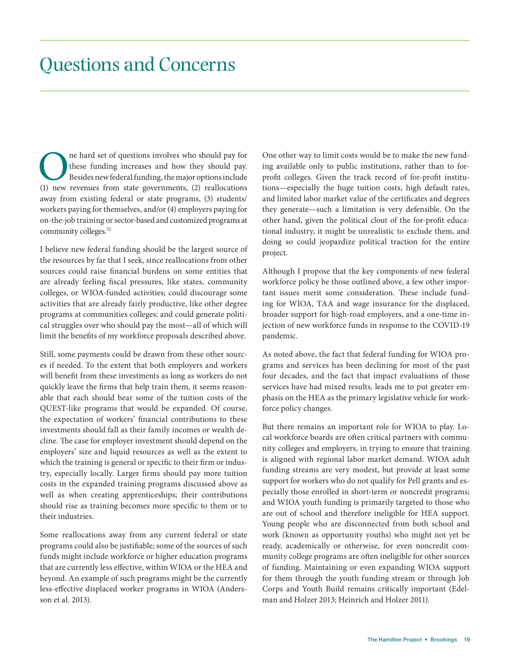### Questions and Concerns

The hard set of questions involves who should pay for these funding increases and how they should pay.<br>Besides new federal funding, the major options include (1) new revenues from state governments, (2) reallocations these funding increases and how they should pay. Besides new federal funding, the major options include away from existing federal or state programs, (3) students/ workers paying for themselves, and/or (4) employers paying for on-the-job training or sector-based and customized programs at community colleges.<sup>52</sup>

I believe new federal funding should be the largest source of the resources by far that I seek, since reallocations from other sources could raise financial burdens on some entities that are already feeling fiscal pressures, like states, community colleges, or WIOA-funded activities; could discourage some activities that are already fairly productive, like other degree programs at communities colleges; and could generate political struggles over who should pay the most—all of which will limit the benefits of my workforce proposals described above.

Still, some payments could be drawn from these other sources if needed. To the extent that both employers and workers will benefit from these investments as long as workers do not quickly leave the firms that help train them, it seems reasonable that each should bear some of the tuition costs of the QUEST-like programs that would be expanded. Of course, the expectation of workers' financial contributions to these investments should fall as their family incomes or wealth decline. The case for employer investment should depend on the employers' size and liquid resources as well as the extent to which the training is general or specific to their firm or industry, especially locally. Larger firms should pay more tuition costs in the expanded training programs discussed above as well as when creating apprenticeships; their contributions should rise as training becomes more specific to them or to their industries.

Some reallocations away from any current federal or state programs could also be justifiable; some of the sources of such funds might include workforce or higher education programs that are currently less effective, within WIOA or the HEA and beyond. An example of such programs might be the currently less-effective displaced worker programs in WIOA (Andersson et al. 2013).

One other way to limit costs would be to make the new funding available only to public institutions, rather than to forprofit colleges. Given the track record of for-profit institutions—especially the huge tuition costs, high default rates, and limited labor market value of the certificates and degrees they generate—such a limitation is very defensible. On the other hand, given the political clout of the for-profit educational industry, it might be unrealistic to exclude them, and doing so could jeopardize political traction for the entire project.

Although I propose that the key components of new federal workforce policy be those outlined above, a few other important issues merit some consideration. These include funding for WIOA, TAA and wage insurance for the displaced, broader support for high-road employers, and a one-time injection of new workforce funds in response to the COVID-19 pandemic.

As noted above, the fact that federal funding for WIOA programs and services has been declining for most of the past four decades, and the fact that impact evaluations of those services have had mixed results, leads me to put greater emphasis on the HEA as the primary legislative vehicle for workforce policy changes.

But there remains an important role for WIOA to play. Local workforce boards are often critical partners with community colleges and employers, in trying to ensure that training is aligned with regional labor market demand. WIOA adult funding streams are very modest, but provide at least some support for workers who do not qualify for Pell grants and especially those enrolled in short-term or noncredit programs; and WIOA youth funding is primarily targeted to those who are out of school and therefore ineligible for HEA support. Young people who are disconnected from both school and work (known as opportunity youths) who might not yet be ready, academically or otherwise, for even noncredit community college programs are often ineligible for other sources of funding. Maintaining or even expanding WIOA support for them through the youth funding stream or through Job Corps and Youth Build remains critically important (Edelman and Holzer 2013; Heinrich and Holzer 2011).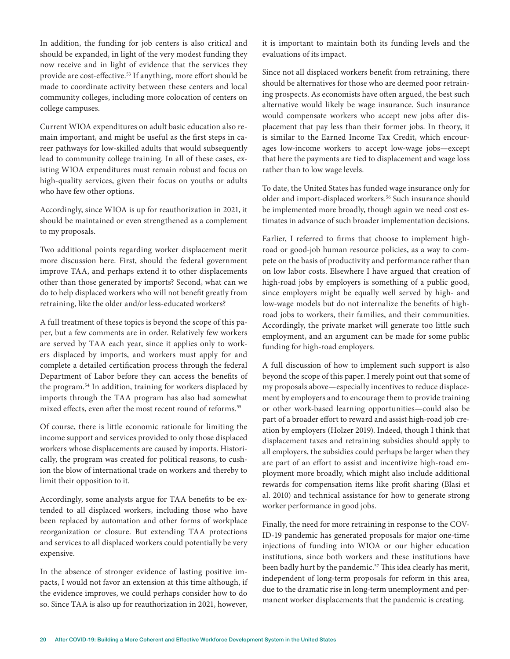In addition, the funding for job centers is also critical and should be expanded, in light of the very modest funding they now receive and in light of evidence that the services they provide are cost-effective.<sup>53</sup> If anything, more effort should be made to coordinate activity between these centers and local community colleges, including more colocation of centers on college campuses.

Current WIOA expenditures on adult basic education also remain important, and might be useful as the first steps in career pathways for low-skilled adults that would subsequently lead to community college training. In all of these cases, existing WIOA expenditures must remain robust and focus on high-quality services, given their focus on youths or adults who have few other options.

Accordingly, since WIOA is up for reauthorization in 2021, it should be maintained or even strengthened as a complement to my proposals.

Two additional points regarding worker displacement merit more discussion here. First, should the federal government improve TAA, and perhaps extend it to other displacements other than those generated by imports? Second, what can we do to help displaced workers who will not benefit greatly from retraining, like the older and/or less-educated workers?

A full treatment of these topics is beyond the scope of this paper, but a few comments are in order. Relatively few workers are served by TAA each year, since it applies only to workers displaced by imports, and workers must apply for and complete a detailed certification process through the federal Department of Labor before they can access the benefits of the program.54 In addition, training for workers displaced by imports through the TAA program has also had somewhat mixed effects, even after the most recent round of reforms.<sup>55</sup>

Of course, there is little economic rationale for limiting the income support and services provided to only those displaced workers whose displacements are caused by imports. Historically, the program was created for political reasons, to cushion the blow of international trade on workers and thereby to limit their opposition to it.

Accordingly, some analysts argue for TAA benefits to be extended to all displaced workers, including those who have been replaced by automation and other forms of workplace reorganization or closure. But extending TAA protections and services to all displaced workers could potentially be very expensive.

In the absence of stronger evidence of lasting positive impacts, I would not favor an extension at this time although, if the evidence improves, we could perhaps consider how to do so. Since TAA is also up for reauthorization in 2021, however,

it is important to maintain both its funding levels and the evaluations of its impact.

Since not all displaced workers benefit from retraining, there should be alternatives for those who are deemed poor retraining prospects. As economists have often argued, the best such alternative would likely be wage insurance. Such insurance would compensate workers who accept new jobs after displacement that pay less than their former jobs. In theory, it is similar to the Earned Income Tax Credit, which encourages low-income workers to accept low-wage jobs—except that here the payments are tied to displacement and wage loss rather than to low wage levels.

To date, the United States has funded wage insurance only for older and import-displaced workers.<sup>56</sup> Such insurance should be implemented more broadly, though again we need cost estimates in advance of such broader implementation decisions.

Earlier, I referred to firms that choose to implement highroad or good-job human resource policies, as a way to compete on the basis of productivity and performance rather than on low labor costs. Elsewhere I have argued that creation of high-road jobs by employers is something of a public good, since employers might be equally well served by high- and low-wage models but do not internalize the benefits of highroad jobs to workers, their families, and their communities. Accordingly, the private market will generate too little such employment, and an argument can be made for some public funding for high-road employers.

A full discussion of how to implement such support is also beyond the scope of this paper. I merely point out that some of my proposals above—especially incentives to reduce displacement by employers and to encourage them to provide training or other work-based learning opportunities—could also be part of a broader effort to reward and assist high-road job creation by employers (Holzer 2019). Indeed, though I think that displacement taxes and retraining subsidies should apply to all employers, the subsidies could perhaps be larger when they are part of an effort to assist and incentivize high-road employment more broadly, which might also include additional rewards for compensation items like profit sharing (Blasi et al. 2010) and technical assistance for how to generate strong worker performance in good jobs.

Finally, the need for more retraining in response to the COV-ID-19 pandemic has generated proposals for major one-time injections of funding into WIOA or our higher education institutions, since both workers and these institutions have been badly hurt by the pandemic.<sup>57</sup> This idea clearly has merit, independent of long-term proposals for reform in this area, due to the dramatic rise in long-term unemployment and permanent worker displacements that the pandemic is creating.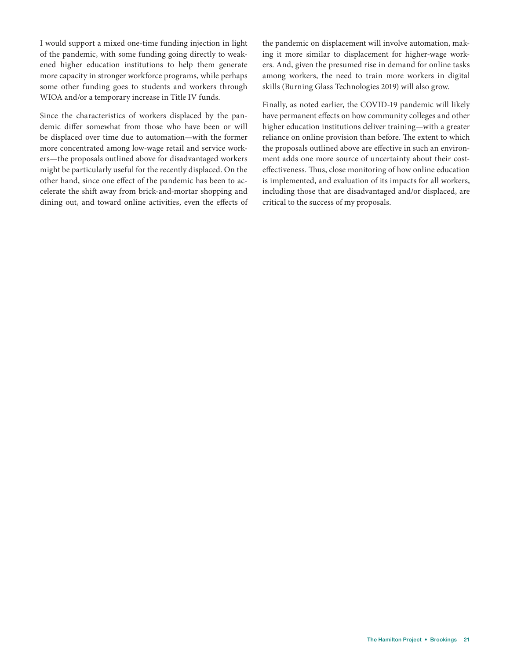I would support a mixed one-time funding injection in light of the pandemic, with some funding going directly to weakened higher education institutions to help them generate more capacity in stronger workforce programs, while perhaps some other funding goes to students and workers through WIOA and/or a temporary increase in Title IV funds.

Since the characteristics of workers displaced by the pandemic differ somewhat from those who have been or will be displaced over time due to automation—with the former more concentrated among low-wage retail and service workers—the proposals outlined above for disadvantaged workers might be particularly useful for the recently displaced. On the other hand, since one effect of the pandemic has been to accelerate the shift away from brick-and-mortar shopping and dining out, and toward online activities, even the effects of the pandemic on displacement will involve automation, making it more similar to displacement for higher-wage workers. And, given the presumed rise in demand for online tasks among workers, the need to train more workers in digital skills (Burning Glass Technologies 2019) will also grow.

Finally, as noted earlier, the COVID-19 pandemic will likely have permanent effects on how community colleges and other higher education institutions deliver training—with a greater reliance on online provision than before. The extent to which the proposals outlined above are effective in such an environment adds one more source of uncertainty about their costeffectiveness. Thus, close monitoring of how online education is implemented, and evaluation of its impacts for all workers, including those that are disadvantaged and/or displaced, are critical to the success of my proposals.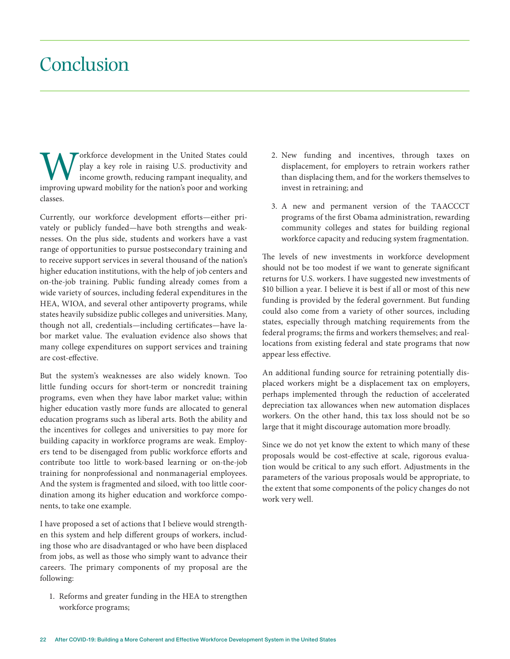### Conclusion

Workforce development in the United States could play a key role in raising U.S. productivity and improving upward mobility for the nation's poor and working play a key role in raising U.S. productivity and income growth, reducing rampant inequality, and classes.

Currently, our workforce development efforts—either privately or publicly funded—have both strengths and weaknesses. On the plus side, students and workers have a vast range of opportunities to pursue postsecondary training and to receive support services in several thousand of the nation's higher education institutions, with the help of job centers and on-the-job training. Public funding already comes from a wide variety of sources, including federal expenditures in the HEA, WIOA, and several other antipoverty programs, while states heavily subsidize public colleges and universities. Many, though not all, credentials—including certificates—have labor market value. The evaluation evidence also shows that many college expenditures on support services and training are cost-effective.

But the system's weaknesses are also widely known. Too little funding occurs for short-term or noncredit training programs, even when they have labor market value; within higher education vastly more funds are allocated to general education programs such as liberal arts. Both the ability and the incentives for colleges and universities to pay more for building capacity in workforce programs are weak. Employers tend to be disengaged from public workforce efforts and contribute too little to work-based learning or on-the-job training for nonprofessional and nonmanagerial employees. And the system is fragmented and siloed, with too little coordination among its higher education and workforce components, to take one example.

I have proposed a set of actions that I believe would strengthen this system and help different groups of workers, including those who are disadvantaged or who have been displaced from jobs, as well as those who simply want to advance their careers. The primary components of my proposal are the following:

1. Reforms and greater funding in the HEA to strengthen workforce programs;

- 2. New funding and incentives, through taxes on displacement, for employers to retrain workers rather than displacing them, and for the workers themselves to invest in retraining; and
- 3. A new and permanent version of the TAACCCT programs of the first Obama administration, rewarding community colleges and states for building regional workforce capacity and reducing system fragmentation.

The levels of new investments in workforce development should not be too modest if we want to generate significant returns for U.S. workers. I have suggested new investments of \$10 billion a year. I believe it is best if all or most of this new funding is provided by the federal government. But funding could also come from a variety of other sources, including states, especially through matching requirements from the federal programs; the firms and workers themselves; and reallocations from existing federal and state programs that now appear less effective.

An additional funding source for retraining potentially displaced workers might be a displacement tax on employers, perhaps implemented through the reduction of accelerated depreciation tax allowances when new automation displaces workers. On the other hand, this tax loss should not be so large that it might discourage automation more broadly.

Since we do not yet know the extent to which many of these proposals would be cost-effective at scale, rigorous evaluation would be critical to any such effort. Adjustments in the parameters of the various proposals would be appropriate, to the extent that some components of the policy changes do not work very well.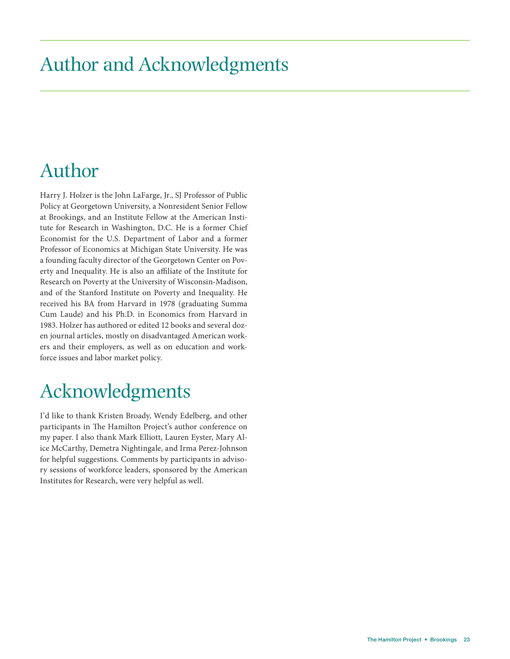# Author and Acknowledgments

## Author

Harry J. Holzer is the John LaFarge, Jr., SJ Professor of Public Policy at Georgetown University, a Nonresident Senior Fellow at Brookings, and an Institute Fellow at the American Institute for Research in Washington, D.C. He is a former Chief Economist for the U.S. Department of Labor and a former Professor of Economics at Michigan State University. He was a founding faculty director of the Georgetown Center on Poverty and Inequality. He is also an affiliate of the Institute for Research on Poverty at the University of Wisconsin-Madison, and of the Stanford Institute on Poverty and Inequality. He received his BA from Harvard in 1978 (graduating Summa Cum Laude) and his Ph.D. in Economics from Harvard in 1983. Holzer has authored or edited 12 books and several dozen journal articles, mostly on disadvantaged American workers and their employers, as well as on education and workforce issues and labor market policy.

## Acknowledgments

I'd like to thank Kristen Broady, Wendy Edelberg, and other participants in The Hamilton Project's author conference on my paper. I also thank Mark Elliott, Lauren Eyster, Mary Alice McCarthy, Demetra Nightingale, and Irma Perez-Johnson for helpful suggestions. Comments by participants in advisory sessions of workforce leaders, sponsored by the American Institutes for Research, were very helpful as well.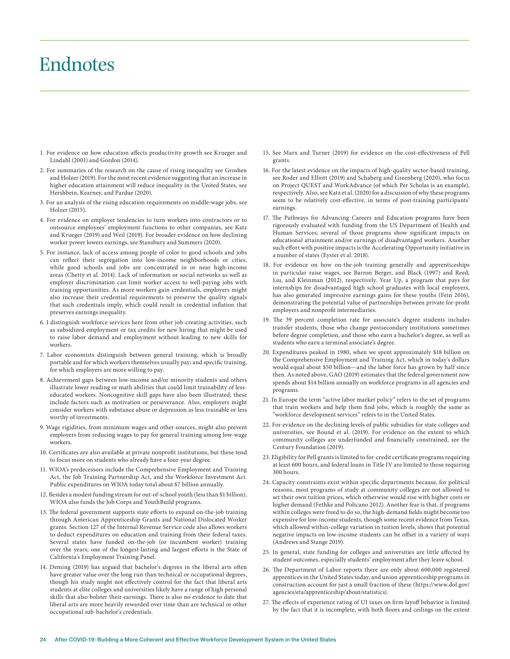### Endnotes

- 1. For evidence on how education affects productivity growth see Krueger and Lindahl (2001) and Gordon (2014).
- 2. For summaries of the research on the cause of rising inequality see Groshen and Holzer (2019). For the most recent evidence suggesting that an increase in higher education attainment will reduce inequality in the United States, see Hershbein, Kearney, and Pardue (2020).
- 3. For an analysis of the rising education requirements on middle-wage jobs, see Holzer (2015).
- 4. For evidence on employer tendencies to turn workers into contractors or to outsource employees' employment functions to other companies, see Katz and Krueger (2019) and Weil (2019). For broader evidence on how declining worker power lowers earnings, see Stansbury and Summers (2020).
- 5. For instance, lack of access among people of color to good schools and jobs can reflect their segregation into low-income neighborhoods or cities, while good schools and jobs are concentrated in or near high-income areas (Chetty et al. 2014). Lack of information or social networks as well as employer discrimination can limit worker access to well-paying jobs with training opportunities. As more workers gain credentials, employers might also increase their credential requirements to preserve the quality signals that such credentials imply, which could result in credential inflation that preserves earnings inequality.
- 6. I distinguish workforce services here from other job-creating activities, such as subsidized employment or tax credits for new hiring that might be used to raise labor demand and employment without leading to new skills for workers.
- 7. Labor economists distinguish between general training, which is broadly portable and for which workers themselves usually pay; and specific training, for which employers are more willing to pay.
- 8. Achievement gaps between low-income and/or minority students and others illustrate lower reading or math abilities that could limit trainability of lesseducated workers. Noncognitive skill gaps have also been illustrated; these include factors such as motivation or perseverance. Also, employers might consider workers with substance abuse or depression as less trainable or less worthy of investments.
- 9. Wage rigidities, from minimum wages and other sources, might also prevent employers from reducing wages to pay for general training among low-wage workers.
- 10. Certificates are also available at private nonprofit institutions, but these tend to focus more on students who already have a four-year degree.
- 11. WIOA's predecessors include the Comprehensive Employment and Training Act, the Job Training Partnership Act, and the Workforce Investment Act. Public expenditures on WIOA today total about \$7 billion annually.
- 12. Besides a modest funding stream for out-of-school youth (less than \$1 billion), WIOA also funds the Job Corps and YouthBuild programs.
- 13. The federal government supports state efforts to expand on-the-job training through American Apprenticeship Grants and National Dislocated Worker grants. Section 127 of the Internal Revenue Service code also allows workers to deduct expenditures on education and training from their federal taxes. Several states have funded on-the-job (or incumbent worker) training over the years; one of the longest-lasting and largest efforts is the State of California's Employment Training Panel.
- 14. Deming (2019) has argued that bachelor's degrees in the liberal arts often have greater value over the long run than technical or occupational degrees, though his study might not effectively control for the fact that liberal arts students at elite colleges and universities likely have a range of high personal skills that also bolster their earnings. There is also no evidence to date that liberal arts are more heavily rewarded over time than are technical or other occupational sub-bachelor's credentials.
- 15. See Marx and Turner (2019) for evidence on the cost-effectiveness of Pell grants.
- 16. For the latest evidence on the impacts of high-quality sector-based training, see Roder and Elliott (2019) and Schaberg and Greenberg (2020), who focus on Project QUEST and WorkAdvance (of which Per Scholas is an example), respectively. Also, see Katz et al. (2020) for a discussion of why these programs seem to be relatively cost-effective, in terms of post-training participants' earnings.
- 17. The Pathways for Advancing Careers and Education programs have been rigorously evaluated with funding from the US Department of Health and Human Services; several of those programs show significant impacts on educational attainment and/or earnings of disadvantaged workers. Another such effort with positive impacts is the Accelerating Opportunity initiative in a number of states (Eyster et al. 2018).
- 18. For evidence on how on-the-job training generally and apprenticeships in particular raise wages, see Barron Berger, and Black (1997) and Reed, Liu, and Kleinman (2012), respectively. Year Up, a program that pays for internships for disadvantaged high school graduates with local employers, has also generated impressive earnings gains for these youths (Fein 2016), demonstrating the potential value of partnerships between private for-profit employers and nonprofit intermediaries.
- 19. The 39 percent completion rate for associate's degree students includes transfer students, those who change postsecondary institutions sometimes before degree completion, and those who earn a bachelor's degree, as well as students who earn a terminal associate's degree.
- 20. Expenditures peaked in 1980, when we spent approximately \$18 billion on the Comprehensive Employment and Training Act, which in today's dollars would equal about \$50 billion—and the labor force has grown by half since then. As noted above, GAO (2019) estimates that the federal government now spends about \$14 billion annually on workforce programs in all agencies and programs.
- 21. In Europe the term "active labor market policy" refers to the set of programs that train workers and help them find jobs, which is roughly the same as "workforce development services" refers to in the United States.
- 22. For evidence on the declining levels of public subsidies for state colleges and universities, see Bound et al. (2019). For evidence on the extent to which community colleges are underfunded and financially constrained, see the Century Foundation (2019).
- 23. Eligibility for Pell grants is limited to for-credit certificate programs requiring at least 600 hours, and federal loans in Title IV are limited to those requiring 300 hours.
- 24. Capacity constraints exist within specific departments because, for political reasons, most programs of study at community colleges are not allowed to set their own tuition prices, which otherwise would rise with higher costs or higher demand (Fethke and Policano 2012). Another fear is that, if programs within colleges were freed to do so, the high-demand fields might become too expensive for low-income students, though some recent evidence from Texas, which allowed within-college variation in tuition levels, shows that potential negative impacts on low-income students can be offset in a variety of ways (Andrews and Stange 2019).
- 25. In general, state funding for colleges and universities are little affected by student outcomes, especially students' employment after they leave school.
- 26. The Department of Labor reports there are only about 600,000 registered apprentices in the United States today, and union apprenticeship programs in construction account for just a small fraction of these (https://www.dol.gov/ agencies/eta/apprenticeship/about/statistics).
- 27. The effects of experience rating of UI taxes on firm layoff behavior is limited by the fact that it is incomplete, with both floors and ceilings on the extent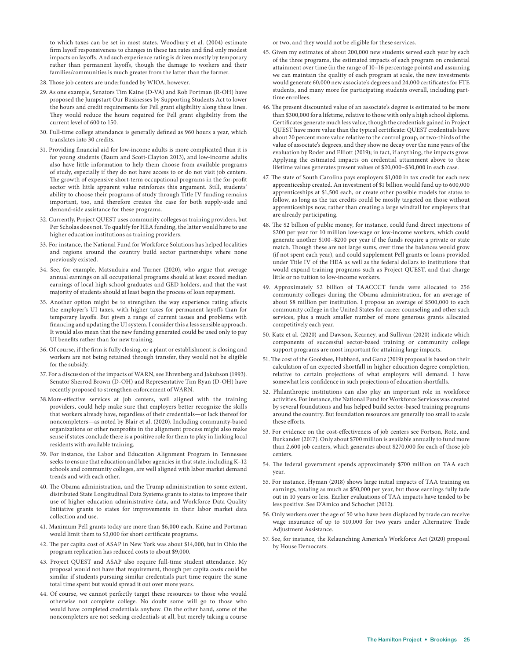to which taxes can be set in most states. Woodbury et al. (2004) estimate firm layoff responsiveness to changes in these tax rates and find only modest impacts on layoffs. And such experience rating is driven mostly by temporary rather than permanent layoffs, though the damage to workers and their families/communities is much greater from the latter than the former.

- 28. Those job centers are underfunded by WIOA, however.
- 29. As one example, Senators Tim Kaine (D-VA) and Rob Portman (R-OH) have proposed the Jumpstart Our Businesses by Supporting Students Act to lower the hours and credit requirements for Pell grant eligibility along these lines. They would reduce the hours required for Pell grant eligibility from the current level of 600 to 150.
- 30. Full-time college attendance is generally defined as 960 hours a year, which translates into 30 credits.
- 31. Providing financial aid for low-income adults is more complicated than it is for young students (Baum and Scott-Clayton 2013), and low-income adults also have little information to help them choose from available programs of study, especially if they do not have access to or do not visit job centers. The growth of expensive short-term occupational programs in the for-profit sector with little apparent value reinforces this argument. Still, students' ability to choose their programs of study through Title IV funding remains important, too, and therefore creates the case for both supply-side and demand-side assistance for these programs.
- 32. Currently, Project QUEST uses community colleges as training providers, but Per Scholas does not. To qualify for HEA funding, the latter would have to use higher education institutions as training providers.
- 33. For instance, the National Fund for Workforce Solutions has helped localities and regions around the country build sector partnerships where none previously existed.
- 34. See, for example, Matsudaira and Turner (2020), who argue that average annual earnings on all occupational programs should at least exceed median earnings of local high school graduates and GED holders, and that the vast majority of students should at least begin the process of loan repayment.
- 35. Another option might be to strengthen the way experience rating affects the employer's UI taxes, with higher taxes for permanent layoffs than for temporary layoffs. But given a range of current issues and problems with financing and updating the UI system, I consider this a less sensible approach. It would also mean that the new funding generated could be used only to pay UI benefits rather than for new training.
- 36. Of course, if the firm is fully closing, or a plant or establishment is closing and workers are not being retained through transfer, they would not be eligible for the subsidy.
- 37. For a discussion of the impacts of WARN, see Ehrenberg and Jakubson (1993). Senator Sherrod Brown (D-OH) and Representative Tim Ryan (D-OH) have recently proposed to strengthen enforcement of WARN.
- 38.More-effective services at job centers, well aligned with the training providers, could help make sure that employers better recognize the skills that workers already have, regardless of their credentials—or lack thereof for noncompleters—as noted by Blair et al. (2020). Including community-based organizations or other nonprofits in the alignment process might also make sense if states conclude there is a positive role for them to play in linking local residents with available training.
- 39. For instance, the Labor and Education Alignment Program in Tennessee seeks to ensure that education and labor agencies in that state, including K–12 schools and community colleges, are well aligned with labor market demand trends and with each other.
- 40. The Obama administration, and the Trump administration to some extent, distributed State Longitudinal Data Systems grants to states to improve their use of higher education administrative data, and Workforce Data Quality Initiative grants to states for improvements in their labor market data collection and use.
- 41. Maximum Pell grants today are more than \$6,000 each. Kaine and Portman would limit them to \$3,000 for short certificate programs.
- 42. The per capita cost of ASAP in New York was about \$14,000, but in Ohio the program replication has reduced costs to about \$9,000.
- 43. Project QUEST and ASAP also require full-time student attendance. My proposal would not have that requirement, though per capita costs could be similar if students pursuing similar credentials part time require the same total time spent but would spread it out over more years.
- 44. Of course, we cannot perfectly target these resources to those who would otherwise not complete college. No doubt some will go to those who would have completed credentials anyhow. On the other hand, some of the noncompleters are not seeking credentials at all, but merely taking a course

or two, and they would not be eligible for these services.

- 45. Given my estimates of about 200,000 new students served each year by each of the three programs, the estimated impacts of each program on credential attainment over time (in the range of 10–16 percentage points) and assuming we can maintain the quality of each program at scale, the new investments would generate 60,000 new associate's degrees and 24,000 certificates for FTE students, and many more for participating students overall, including parttime enrollees.
- 46. The present discounted value of an associate's degree is estimated to be more than \$300,000 for a lifetime, relative to those with only a high school diploma. Certificates generate much less value, though the credentials gained in Project QUEST have more value than the typical certificate: QUEST credentials have about 20 percent more value relative to the control group, or two-thirds of the value of associate's degrees, and they show no decay over the nine years of the evaluation by Roder and Elliott (2019); in fact, if anything, the impacts grow. Applying the estimated impacts on credential attainment above to these lifetime values generates present values of \$20,000–\$30,000 in each case.
- 47. The state of South Carolina pays employers \$1,000 in tax credit for each new apprenticeship created. An investment of \$1 billion would fund up to 600,000 apprenticeships at \$1,500 each, or create other possible models for states to follow, as long as the tax credits could be mostly targeted on those without apprenticeships now, rather than creating a large windfall for employers that are already participating.
- 48. The \$2 billion of public money, for instance, could fund direct injections of \$200 per year for 10 million low-wage or low-income workers, which could generate another \$100–\$200 per year if the funds require a private or state match. Though these are not large sums, over time the balances would grow (if not spent each year), and could supplement Pell grants or loans provided under Title IV of the HEA as well as the federal dollars to institutions that would expand training programs such as Project QUEST, and that charge little or no tuition to low-income workers.
- 49. Approximately \$2 billion of TAACCCT funds were allocated to 256 community colleges during the Obama administration, for an average of about \$8 million per institution. I propose an average of \$500,000 to each community college in the United States for career counseling and other such services, plus a much smaller number of more generous grants allocated competitively each year.
- 50. Katz et al. (2020) and Dawson, Kearney, and Sullivan (2020) indicate which components of successful sector-based training or community college support programs are most important for attaining large impacts.
- 51. The cost of the Goolsbee, Hubbard, and Ganz (2019) proposal is based on their calculation of an expected shortfall in higher education degree completion, relative to certain projections of what employers will demand. I have somewhat less confidence in such projections of education shortfalls.
- 52. Philanthropic institutions can also play an important role in workforce activities. For instance, the National Fund for Workforce Services was created by several foundations and has helped build sector-based training programs around the country. But foundation resources are generally too small to scale these efforts.
- 53. For evidence on the cost-effectiveness of job centers see Fortson, Rotz, and Burkander (2017). Only about \$700 million is available annually to fund more than 2,600 job centers, which generates about \$270,000 for each of those job centers.
- 54. The federal government spends approximately \$700 million on TAA each year.
- 55. For instance, Hyman (2018) shows large initial impacts of TAA training on earnings, totaling as much as \$50,000 per year, but those earnings fully fade out in 10 years or less. Earlier evaluations of TAA impacts have tended to be less positive. See D'Amico and Schochet (2012).
- 56. Only workers over the age of 50 who have been displaced by trade can receive wage insurance of up to \$10,000 for two years under Alternative Trade Adjustment Assistance.
- 57. See, for instance, the Relaunching America's Workforce Act (2020) proposal by House Democrats.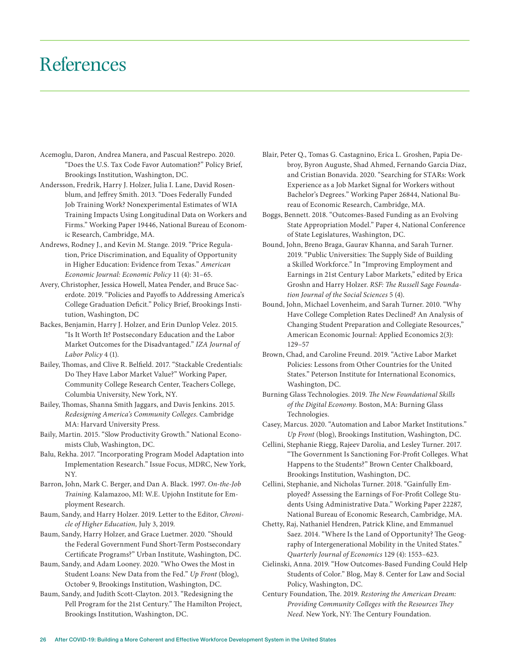### References

- Acemoglu, Daron, Andrea Manera, and Pascual Restrepo. 2020. "Does the U.S. Tax Code Favor Automation?" Policy Brief, Brookings Institution, Washington, DC.
- Andersson, Fredrik, Harry J. Holzer, Julia I. Lane, David Rosenblum, and Jeffrey Smith. 2013. "Does Federally Funded Job Training Work? Nonexperimental Estimates of WIA Training Impacts Using Longitudinal Data on Workers and Firms." Working Paper 19446, National Bureau of Economic Research, Cambridge, MA.
- Andrews, Rodney J., and Kevin M. Stange. 2019. "Price Regulation, Price Discrimination, and Equality of Opportunity in Higher Education: Evidence from Texas." *American Economic Journal: Economic Policy* 11 (4): 31–65.
- Avery, Christopher, Jessica Howell, Matea Pender, and Bruce Sacerdote. 2019. "Policies and Payoffs to Addressing America's College Graduation Deficit." Policy Brief, Brookings Institution, Washington, DC
- Backes, Benjamin, Harry J. Holzer, and Erin Dunlop Velez. 2015. "Is It Worth It? Postsecondary Education and the Labor Market Outcomes for the Disadvantaged." *IZA Journal of Labor Policy* 4 (1).
- Bailey, Thomas, and Clive R. Belfield. 2017. "Stackable Credentials: Do They Have Labor Market Value?" Working Paper, Community College Research Center, Teachers College, Columbia University, New York, NY.
- Bailey, Thomas, Shanna Smith Jaggars, and Davis Jenkins. 2015. *Redesigning America's Community Colleges*. Cambridge MA: Harvard University Press.
- Baily, Martin. 2015. "Slow Productivity Growth." National Economists Club, Washington, DC.
- Balu, Rekha. 2017. "Incorporating Program Model Adaptation into Implementation Research." Issue Focus, MDRC, New York, NY.
- Barron, John, Mark C. Berger, and Dan A. Black. 1997. *On-the-Job Training.* Kalamazoo, MI: W.E. Upjohn Institute for Employment Research.
- Baum, Sandy, and Harry Holzer. 2019. Letter to the Editor, *Chronicle of Higher Education,* July 3, 2019.
- Baum, Sandy, Harry Holzer, and Grace Luetmer. 2020. "Should the Federal Government Fund Short-Term Postsecondary Certificate Programs?" Urban Institute, Washington, DC.
- Baum, Sandy, and Adam Looney. 2020. "Who Owes the Most in Student Loans: New Data from the Fed." *Up Front* (blog), October 9, Brookings Institution, Washington, DC.
- Baum, Sandy, and Judith Scott-Clayton. 2013. "Redesigning the Pell Program for the 21st Century." The Hamilton Project, Brookings Institution, Washington, DC.
- Blair, Peter Q., Tomas G. Castagnino, Erica L. Groshen, Papia Debroy, Byron Auguste, Shad Ahmed, Fernando Garcia Diaz, and Cristian Bonavida. 2020. "Searching for STARs: Work Experience as a Job Market Signal for Workers without Bachelor's Degrees." Working Paper 26844, National Bureau of Economic Research, Cambridge, MA.
- Boggs, Bennett. 2018. "Outcomes-Based Funding as an Evolving State Appropriation Model." Paper 4, National Conference of State Legislatures, Washington, DC.
- Bound, John, Breno Braga, Gaurav Khanna, and Sarah Turner. 2019. "Public Universities: The Supply Side of Building a Skilled Workforce." In "Improving Employment and Earnings in 21st Century Labor Markets," edited by Erica Groshn and Harry Holzer. *RSF: The Russell Sage Foundation Journal of the Social Sciences* 5 (4).
- Bound, John, Michael Lovenheim, and Sarah Turner. 2010. "Why Have College Completion Rates Declined? An Analysis of Changing Student Preparation and Collegiate Resources," American Economic Journal: Applied Economics 2(3): 129–57
- Brown, Chad, and Caroline Freund. 2019. "Active Labor Market Policies: Lessons from Other Countries for the United States." Peterson Institute for International Economics, Washington, DC.
- Burning Glass Technologies. 2019. *The New Foundational Skills of the Digital Economy*. Boston, MA: Burning Glass Technologies.
- Casey, Marcus. 2020. "Automation and Labor Market Institutions." *Up Front* (blog), Brookings Institution, Washington, DC.
- Cellini, Stephanie Riegg, Rajeev Darolia, and Lesley Turner. 2017. "The Government Is Sanctioning For-Profit Colleges. What Happens to the Students?" Brown Center Chalkboard, Brookings Institution, Washington, DC.
- Cellini, Stephanie, and Nicholas Turner. 2018. "Gainfully Employed? Assessing the Earnings of For-Profit College Students Using Administrative Data." Working Paper 22287, National Bureau of Economic Research, Cambridge, MA.
- Chetty, Raj, Nathaniel Hendren, Patrick Kline, and Emmanuel Saez. 2014. "Where Is the Land of Opportunity? The Geography of Intergenerational Mobility in the United States." *Quarterly Journal of Economics* 129 (4): 1553–623.
- Cielinski, Anna. 2019. "How Outcomes-Based Funding Could Help Students of Color." Blog, May 8. Center for Law and Social Policy, Washington, DC.
- Century Foundation, The. 2019. *Restoring the American Dream: Providing Community Colleges with the Resources They Need*. New York, NY: The Century Foundation.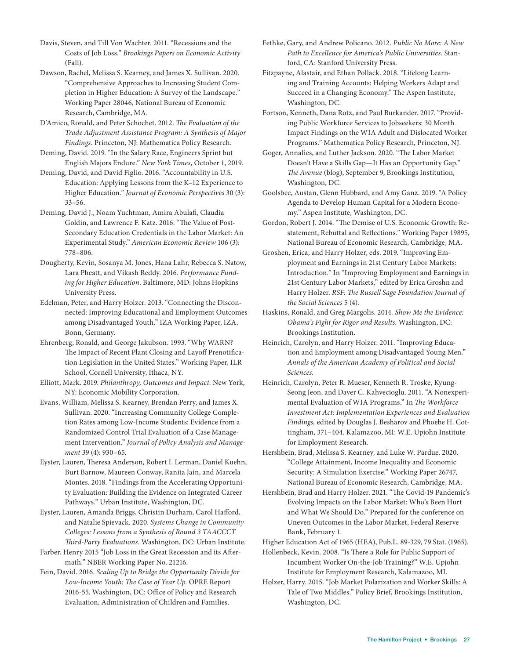Davis, Steven, and Till Von Wachter. 2011. "Recessions and the Costs of Job Loss." *Brookings Papers on Economic Activity*  (Fall).

Dawson, Rachel, Melissa S. Kearney, and James X. Sullivan. 2020. "Comprehensive Approaches to Increasing Student Completion in Higher Education: A Survey of the Landscape." Working Paper 28046, National Bureau of Economic Research, Cambridge, MA.

D'Amico, Ronald, and Peter Schochet. 2012. *The Evaluation of the Trade Adjustment Assistance Program: A Synthesis of Major Findings.* Princeton, NJ: Mathematica Policy Research.

Deming, David. 2019. "In the Salary Race, Engineers Sprint but English Majors Endure." *New York Times,* October 1, 2019.

Deming, David, and David Figlio. 2016. "Accountability in U.S. Education: Applying Lessons from the K–12 Experience to Higher Education." *Journal of Economic Perspectives* 30 (3): 33–56.

Deming, David J., Noam Yuchtman, Amira Abulafi, Claudia Goldin, and Lawrence F. Katz. 2016. "The Value of Post-Secondary Education Credentials in the Labor Market: An Experimental Study." *American Economic Review* 106 (3): 778–806.

Dougherty, Kevin, Sosanya M. Jones, Hana Lahr, Rebecca S. Natow, Lara Pheatt, and Vikash Reddy. 2016. *Performance Funding for Higher Education*. Baltimore, MD: Johns Hopkins University Press.

Edelman, Peter, and Harry Holzer. 2013. "Connecting the Disconnected: Improving Educational and Employment Outcomes among Disadvantaged Youth." IZA Working Paper, IZA, Bonn, Germany.

Ehrenberg, Ronald, and George Jakubson. 1993. "Why WARN? The Impact of Recent Plant Closing and Layoff Prenotification Legislation in the United States." Working Paper, ILR School, Cornell University, Ithaca, NY.

Elliott, Mark. 2019. *Philanthropy, Outcomes and Impact.* New York, NY: Economic Mobility Corporation.

Evans, William, Melissa S. Kearney, Brendan Perry, and James X. Sullivan. 2020. "Increasing Community College Completion Rates among Low-Income Students: Evidence from a Randomized Control Trial Evaluation of a Case Management Intervention." *Journal of Policy Analysis and Management* 39 (4): 930–65.

Eyster, Lauren, Theresa Anderson, Robert I. Lerman, Daniel Kuehn, Burt Barnow, Maureen Conway, Ranita Jain, and Marcela Montes. 2018. "Findings from the Accelerating Opportunity Evaluation: Building the Evidence on Integrated Career Pathways." Urban Institute, Washington, DC.

Eyster, Lauren, Amanda Briggs, Christin Durham, Carol Hafford, and Natalie Spievack. 2020. *Systems Change in Community Colleges: Lessons from a Synthesis of Round 3 TAACCCT Third-Party Evaluations.* Washington, DC: Urban Institute.

Farber, Henry 2015 "Job Loss in the Great Recession and its Aftermath." NBER Working Paper No. 21216.

Fein, David. 2016. *Scaling Up to Bridge the Opportunity Divide for Low-Income Youth: The Case of Year Up.* OPRE Report 2016-55. Washington, DC: Office of Policy and Research Evaluation, Administration of Children and Families.

Fethke, Gary, and Andrew Policano. 2012. *Public No More: A New Path to Excellence for America's Public Universities.* Stanford, CA: Stanford University Press.

Fitzpayne, Alastair, and Ethan Pollack. 2018. "Lifelong Learning and Training Accounts: Helping Workers Adapt and Succeed in a Changing Economy." The Aspen Institute, Washington, DC.

Fortson, Kenneth, Dana Rotz, and Paul Burkander. 2017. "Providing Public Workforce Services to Jobseekers: 30 Month Impact Findings on the WIA Adult and Dislocated Worker Programs." Mathematica Policy Research, Princeton, NJ.

Goger, Annalies, and Luther Jackson. 2020. "The Labor Market Doesn't Have a Skills Gap—It Has an Opportunity Gap." *The Avenue* (blog), September 9, Brookings Institution, Washington, DC.

Goolsbee, Austan, Glenn Hubbard, and Amy Ganz. 2019. "A Policy Agenda to Develop Human Capital for a Modern Economy." Aspen Institute, Washington, DC.

Gordon, Robert J. 2014. "The Demise of U.S. Economic Growth: Restatement, Rebuttal and Reflections." Working Paper 19895, National Bureau of Economic Research, Cambridge, MA.

Groshen, Erica, and Harry Holzer, eds. 2019. "Improving Employment and Earnings in 21st Century Labor Markets: Introduction." In "Improving Employment and Earnings in 21st Century Labor Markets," edited by Erica Groshn and Harry Holzer. *RSF: The Russell Sage Foundation Journal of the Social Sciences* 5 (4).

Haskins, Ronald, and Greg Margolis. 2014*. Show Me the Evidence: Obama's Fight for Rigor and Results.* Washington, DC: Brookings Institution.

Heinrich, Carolyn, and Harry Holzer. 2011. "Improving Education and Employment among Disadvantaged Young Men." *Annals of the American Academy of Political and Social Sciences.*

Heinrich, Carolyn, Peter R. Mueser, Kenneth R. Troske, Kyung-Seong Jeon, and Daver C. Kahvecioglu. 2011. "A Nonexperimental Evaluation of WIA Programs." In *The Workforce Investment Act: Implementation Experiences and Evaluation Findings,* edited by Douglas J. Besharov and Phoebe H. Cottingham, 371–404. Kalamazoo, MI: W.E. Upjohn Institute for Employment Research.

Hershbein, Brad, Melissa S. Kearney, and Luke W. Pardue. 2020. "College Attainment, Income Inequality and Economic Security: A Simulation Exercise." Working Paper 26747, National Bureau of Economic Research, Cambridge, MA.

Hershbein, Brad and Harry Holzer. 2021. "The Covid-19 Pandemic's Evolving Impacts on the Labor Market: Who's Been Hurt and What We Should Do." Prepared for the conference on Uneven Outcomes in the Labor Market, Federal Reserve Bank, February 1.

Higher Education Act of 1965 (HEA), Pub.L. 89-329, 79 Stat. (1965).

Hollenbeck, Kevin. 2008. "Is There a Role for Public Support of Incumbent Worker On-the-Job Training?" W.E. Upjohn Institute for Employment Research, Kalamazoo, MI.

Holzer, Harry. 2015. "Job Market Polarization and Worker Skills: A Tale of Two Middles." Policy Brief, Brookings Institution, Washington, DC.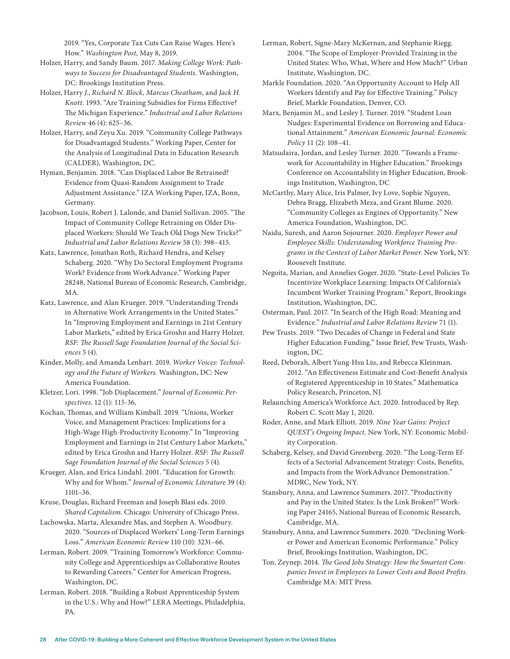2019. "Yes, Corporate Tax Cuts Can Raise Wages. Here's How." *Washington Post,* May 8, 2019.

- Holzer, Harry, and Sandy Baum. 2017. *Making College Work: Pathways to Success for Disadvantaged Students.* Washington, DC: Brookings Institution Press.
- Holzer, Harry *J.*, *Richard N. Block*, *Marcus Cheatham,* and *Jack H. Knott*. 1993. "Are Training Subsidies for Firms Effective? The Michigan Experience." *Industrial and Labor Relations Review* 46 (4): 625–36.
- Holzer, Harry, and Zeyu Xu. 2019. "Community College Pathways for Disadvantaged Students." Working Paper, Center for the Analysis of Longitudinal Data in Education Research (CALDER), Washington, DC.
- Hyman, Benjamin. 2018. "Can Displaced Labor Be Retrained? Evidence from Quasi-Random Assignment to Trade Adjustment Assistance." IZA Working Paper, IZA, Bonn, Germany.
- Jacobson, Louis, Robert J. Lalonde, and Daniel Sullivan. 2005. "The Impact of Community College Retraining on Older Displaced Workers: Should We Teach Old Dogs New Tricks?" *Industrial and Labor Relations Review* 58 (3): 398–415.
- Katz, Lawrence, Jonathan Roth, Richard Hendra, and Kelsey Schaberg. 2020. "Why Do Sectoral Employment Programs Work? Evidence from WorkAdvance." Working Paper 28248, National Bureau of Economic Research, Cambridge, MA.
- Katz, Lawrence, and Alan Krueger. 2019. "Understanding Trends in Alternative Work Arrangements in the United States." In "Improving Employment and Earnings in 21st Century Labor Markets," edited by Erica Groshn and Harry Holzer. *RSF: The Russell Sage Foundation Journal of the Social Sciences* 5 (4).
- Kinder, Molly, and Amanda Lenhart. 2019. *Worker Voices: Technology and the Future of Workers.* Washington, DC: New America Foundation.
- Kletzer, Lori. 1998. "Job Displacement." *Journal of Economic Perspectives*. 12 (1): 115-36,
- Kochan, Thomas, and William Kimball. 2019. "Unions, Worker Voice, and Management Practices: Implications for a High-Wage High-Productivity Economy." In "Improving Employment and Earnings in 21st Century Labor Markets," edited by Erica Groshn and Harry Holzer. *RSF: The Russell Sage Foundation Journal of the Social Sciences* 5 (4).
- Krueger, Alan, and Erica Lindahl. 2001. "Education for Growth: Why and for Whom." *Journal of Economic Literature* 39 (4): 1101–36.
- Kruse, Douglas, Richard Freeman and Joseph Blasi eds. 2010. *Shared Capitalism*. Chicago: University of Chicago Press.
- Lachowska, Marta, Alexandre Mas, and Stephen A. Woodbury. 2020. "Sources of Displaced Workers' Long-Term Earnings Loss." *American Economic Review* 110 (10): 3231–66.
- Lerman, Robert. 2009. "Training Tomorrow's Workforce: Community College and Apprenticeships as Collaborative Routes to Rewarding Careers." Center for American Progress, Washington, DC.
- Lerman, Robert. 2018. "Building a Robust Apprenticeship System in the U.S.: Why and How?" LERA Meetings, Philadelphia, PA.
- Lerman, Robert, Signe-Mary McKernan, and Stephanie Riegg. 2004. "The Scope of Employer-Provided Training in the United States: Who, What, Where and How Much?" Urban Institute, Washington, DC.
- Markle Foundation. 2020. "An Opportunity Account to Help All Workers Identify and Pay for Effective Training." Policy Brief, Markle Foundation, Denver, CO.
- Marx, Benjamin M., and Lesley J. Turner. 2019. "Student Loan Nudges: Experimental Evidence on Borrowing and Educational Attainment." *American Economic Journal: Economic Policy* 11 (2): 108–41.
- Matsudaira, Jordan, and Lesley Turner. 2020. "Towards a Framework for Accountability in Higher Education." Brookings Conference on Accountability in Higher Education, Brookings Institution, Washington, DC
- McCarthy, Mary Alice, Iris Palmer, Ivy Love, Sophie Nguyen, Debra Bragg, Elizabeth Meza, and Grant Blume. 2020. "Community Colleges as Engines of Opportunity." New America Foundation, Washington, DC.
- Naidu, Suresh, and Aaron Sojourner. 2020. *Employer Power and Employee Skills: Understanding Workforce Training Programs in the Context of Labor Market Power.* New York, NY: Roosevelt Institute.
- Negoita, Marian, and Annelies Goger. 2020. "State-Level Policies To Incentivize Workplace Learning: Impacts Of California's Incumbent Worker Training Program." Report, Brookings Institution, Washington, DC.
- Osterman, Paul. 2017. "In Search of the High Road: Meaning and Evidence." *Industrial and Labor Relations Review* 71 (1).
- Pew Trusts. 2019. "Two Decades of Change in Federal and State Higher Education Funding." Issue Brief, Pew Trusts, Washington, DC.
- Reed, Deborah, Albert Yung-Hsu Liu, and Rebecca Kleinman. 2012. "An Effectiveness Estimate and Cost-Benefit Analysis of Registered Apprenticeship in 10 States." Mathematica Policy Research, Princeton, NJ.
- Relaunching America's Workforce Act. 2020. Introduced by Rep. Robert C. Scott May 1, 2020.
- Roder, Anne, and Mark Elliott. 2019. *Nine Year Gains: Project QUEST's Ongoing Impact.* New York, NY: Economic Mobility Corporation.
- Schaberg, Kelsey, and David Greenberg. 2020. "The Long-Term Effects of a Sectorial Advancement Strategy: Costs, Benefits, and Impacts from the WorkAdvance Demonstration." MDRC, New York, NY.
- Stansbury, Anna, and Lawrence Summers. 2017. "Productivity and Pay in the United States: Is the Link Broken?" Working Paper 24165, National Bureau of Economic Research, Cambridge, MA.
- Stansbury, Anna, and Lawrence Summers. 2020. "Declining Worker Power and American Economic Performance." Policy Brief, Brookings Institution, Washington, DC.
- Ton, Zeynep. 2014. *The Good Jobs Strategy: How the Smartest Companies Invest in Employees to Lower Costs and Boost Profits.* Cambridge MA: MIT Press.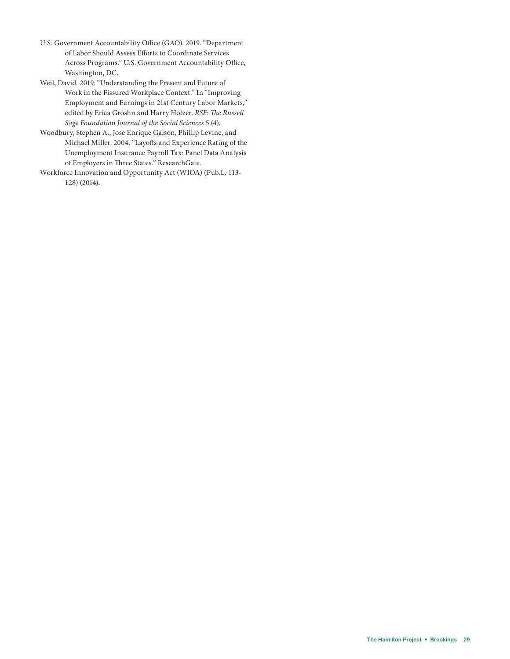- U.S. Government Accountability Office (GAO). 2019. "Department of Labor Should Assess Efforts to Coordinate Services Across Programs." U.S. Government Accountability Office, Washington, DC.
- Weil, David. 2019. "Understanding the Present and Future of Work in the Fissured Workplace Context." In "Improving Employment and Earnings in 21st Century Labor Markets," edited by Erica Groshn and Harry Holzer. *RSF: The Russell Sage Foundation Journal of the Social Sciences* 5 (4).
- Woodbury, Stephen A., Jose Enrique Galson, Phillip Levine, and Michael Miller. 2004. "Layoffs and Experience Rating of the Unemployment Insurance Payroll Tax: Panel Data Analysis of Employers in Three States." ResearchGate.
- Workforce Innovation and Opportunity Act (WIOA) (Pub.L. 113- 128) (2014).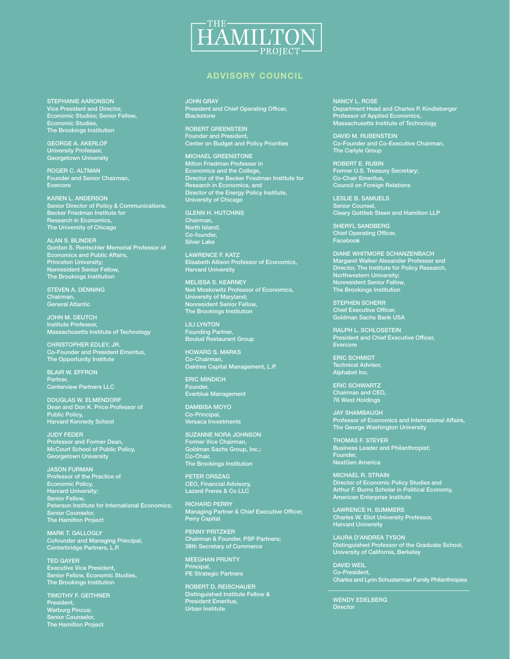

#### ADVISORY COUNCIL

STEPHANIE AARONSON Vice President and Director, Economic Studies; Senior Fellow, Economic Studies, The Brookings Institution

GEORGE A. AKERLOF University Professor, Georgetown University

ROGER C. ALTMAN Founder and Senior Chairman, Evercore

KAREN L. ANDERSON Senior Director of Policy & Communications, Becker Friedman Institute for Research in Economics, The University of Chicago

ALAN S. BLINDER Gordon S. Rentschler Memorial Professor of Economics and Public Affairs, Princeton University; Nonresident Senior Fellow, The Brookings Institution

STEVEN A. DENNING Chairman, General Atlantic

JOHN M. DEUTCH Institute Professor, Massachusetts Institute of Technology

CHRISTOPHER EDLEY, JR. Co-Founder and President Emeritus, The Opportunity Institute

BLAIR W. EFFRON Partner, Centerview Partners LLC

DOUGLAS W. ELMENDORF Dean and Don K. Price Professor of Public Policy, Harvard Kennedy School

JUDY FEDER Professor and Former Dean, McCourt School of Public Policy, Georgetown University

JASON FURMAN Professor of the Practice of Economic Policy, Harvard University; Senior Fellow, Peterson Institute for International Economics; Senior Counselor, The Hamilton Project

MARK T. GALLOGLY Cofounder and Managing Principal, Centerbridge Partners, L.P.

TED GAYER Executive Vice President, Senior Fellow, Economic Studies, The Brookings Institution

TIMOTHY F. GEITHNER President, Warburg Pincus; Senior Counselor, The Hamilton Project

JOHN GRAY **President and Chief Operating Officer, Blackstone** 

ROBERT GREENSTEIN Founder and President, Center on Budget and Policy Priorities

MICHAEL GREENSTONE Milton Friedman Professor in Economics and the College, Director of the Becker Friedman Institute for Research in Economics, and Director of the Energy Policy Institute, University of Chicago

GLENN H. HUTCHINS Chairman, North Island; Co-founder, Silver Lake

LAWRENCE F. KATZ Elisabeth Allison Professor of Economics, Harvard University

MELISSA S. KEARNEY Neil Moskowitz Professor of Economics, University of Maryland; Nonresident Senior Fellow, The Brookings Institution

LILI LYNTON Founding Partner, Boulud Restaurant Group

HOWARD S. MARKS Co-Chairman, Oaktree Capital Management, L.P.

ERIC MINDICH Founder, Everblue Management

DAMBISA MOYO Co-Principal, Versaca Investments

SUZANNE NORA JOHNSON Former Vice Chairman, Goldman Sachs Group, Inc.; Co-Chair, The Brookings Institution

PETER ORSZAG CEO, Financial Advisory, Lazard Freres & Co LLC

RICHARD PERRY Managing Partner & Chief Executive Officer, Perry Capital

PENNY PRITZKER Chairman & Founder, PSP Partners; 38th Secretary of Commerce

MEEGHAN PRUNTY Principal, PE Strategic Partners

ROBERT D. REISCHAUER Distinguished Institute Fellow & President Emeritus, Urban Institute

NANCY L. ROSE Department Head and Charles P. Kindleberger Professor of Applied Economics, Massachusetts Institute of Technology

DAVID M. RUBENSTEIN Co-Founder and Co-Executive Chairman, The Carlyle Group

ROBERT E. RUBIN Former U.S. Treasury Secretary; Co-Chair Emeritus, Council on Foreign Relations

LESLIE B. SAMUELS Senior Counsel, Cleary Gottlieb Steen and Hamilton LLP

SHERYL SANDBERG Chief Operating Officer, Facebook

DIANE WHITMORE SCHANZENBACH Margaret Walker Alexander Professor and Director, The Institute for Policy Research, Northwestern University; Nonresident Senior Fellow, The Brookings Institution

STEPHEN SCHERR Chief Executive Officer, Goldman Sachs Bank USA

RALPH L. SCHLOSSTEIN President and Chief Executive Officer, Evercore

ERIC SCHMIDT Technical Advisor, Alphabet Inc.

ERIC SCHWARTZ Chairman and CEO, 76 West Holdings

JAY SHAMBAUGH Professor of Economics and International Affairs, The George Washington University

THOMAS F. STEYER Business Leader and Philanthropist; Founder, NextGen America

MICHAEL R. STRAIN Director of Economic Policy Studies and Arthur F. Burns Scholar in Political Economy, American Enterprise Institute

LAWRENCE H. SUMMERS Charles W. Eliot University Professor, Harvard University

LAURA D'ANDREA TYSON Distinguished Professor of the Graduate School, University of California, Berkeley

DAVID WEIL Co-President, Charles and Lynn Schusterman Family Philanthropies

WENDY EDELBERG **Director**